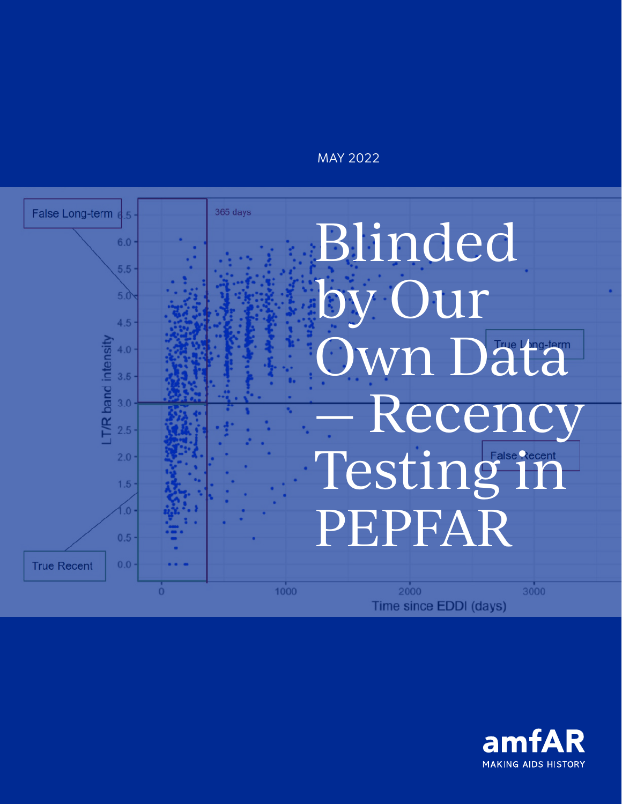### MAY 2022



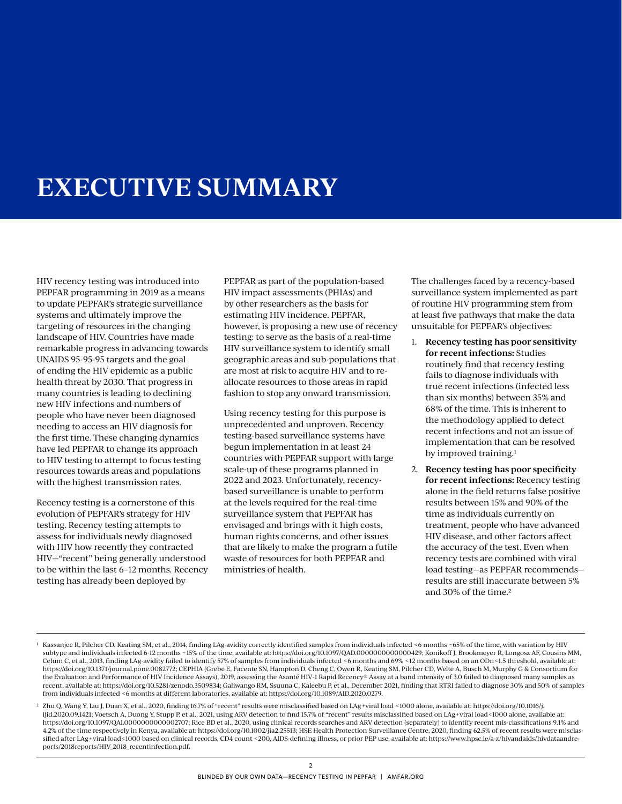## **EXECUTIVE SUMMARY**

HIV recency testing was introduced into PEPFAR programming in 2019 as a means to update PEPFAR's strategic surveillance systems and ultimately improve the targeting of resources in the changing landscape of HIV. Countries have made remarkable progress in advancing towards UNAIDS 95-95-95 targets and the goal of ending the HIV epidemic as a public health threat by 2030. That progress in many countries is leading to declining new HIV infections and numbers of people who have never been diagnosed needing to access an HIV diagnosis for the first time. These changing dynamics have led PEPFAR to change its approach to HIV testing to attempt to focus testing resources towards areas and populations with the highest transmission rates.

Recency testing is a cornerstone of this evolution of PEPFAR's strategy for HIV testing. Recency testing attempts to assess for individuals newly diagnosed with HIV how recently they contracted HIV—"recent" being generally understood to be within the last 6–12 months. Recency testing has already been deployed by

PEPFAR as part of the population-based HIV impact assessments (PHIAs) and by other researchers as the basis for estimating HIV incidence. PEPFAR, however, is proposing a new use of recency testing: to serve as the basis of a real-time HIV surveillance system to identify small geographic areas and sub-populations that are most at risk to acquire HIV and to reallocate resources to those areas in rapid fashion to stop any onward transmission.

Using recency testing for this purpose is unprecedented and unproven. Recency testing-based surveillance systems have begun implementation in at least 24 countries with PEPFAR support with large scale-up of these programs planned in 2022 and 2023. Unfortunately, recencybased surveillance is unable to perform at the levels required for the real-time surveillance system that PEPFAR has envisaged and brings with it high costs, human rights concerns, and other issues that are likely to make the program a futile waste of resources for both PEPFAR and ministries of health.

The challenges faced by a recency-based surveillance system implemented as part of routine HIV programming stem from at least five pathways that make the data unsuitable for PEPFAR's objectives:

- 1. **Recency testing has poor sensitivity for recent infections:** Studies routinely find that recency testing fails to diagnose individuals with true recent infections (infected less than six months) between 35% and 68% of the time. This is inherent to the methodology applied to detect recent infections and not an issue of implementation that can be resolved by improved training.1
- 2. **Recency testing has poor specificity for recent infections:** Recency testing alone in the field returns false positive results between 15% and 90% of the time as individuals currently on treatment, people who have advanced HIV disease, and other factors affect the accuracy of the test. Even when recency tests are combined with viral load testing—as PEPFAR recommends results are still inaccurate between 5% and 30% of the time.2

<sup>1</sup> Kassanjee R, Pilcher CD, Keating SM, et al., 2014, finding LAg-avidity correctly identified samples from individuals infected <6 months ~65% of the time, with variation by HIV subtype and individuals infected 6-12 months ~15% of the time, available at: https://doi.org/10.1097/QAD.0000000000000429; Konikoff J, Brookmeyer R, Longosz AF, Cousins MM, Celum C, et al., 2013, finding LAg-avidity failed to identify 57% of samples from individuals infected <6 months and 69% <12 months based on an ODn<1.5 threshold, available at: https://doi.org/10.1371/journal.pone.0082772; CEPHIA (Grebe E, Facente SN, Hampton D, Cheng C, Owen R, Keating SM, Pilcher CD, Welte A, Busch M, Murphy G & Consortium for the Evaluation and Performance of HIV Incidence Assays), 2019, assessing the Asanté HIV-1 Rapid Recency® Assay at a band intensity of 3.0 failed to diagnosed many samples as recent, available at: https://doi.org/10.5281/zenodo.3509834; Galiwango RM, Ssuuna C, Kaleebu P, et al., December 2021, finding that RTRI failed to diagnose 30% and 50% of samples from individuals infected <6 months at different laboratories, available at: https://doi.org/10.1089/AID.2020.0279.

<sup>2</sup> Zhu Q, Wang Y, Liu J, Duan X, et al., 2020, finding 16.7% of "recent" results were misclassified based on LAg+viral load <1000 alone, available at: [https://doi.org/10.1016/j.](https://doi.org/10.1016/j.ijid.2020.09.1421) [ijid.2020.09.1421](https://doi.org/10.1016/j.ijid.2020.09.1421); Voetsch A, Duong Y, Stupp P, et al., 2021, using ARV detection to find 15.7% of "recent" results misclassified based on LAg+viral load<1000 alone, available at: [https://doi.org/10.1097/QAI.0000000000002707;](https://doi.org/10.1097/QAI.0000000000002707) Rice BD et al., 2020, using clinical records searches and ARV detection (separately) to identify recent mis-classifications 9.1% and 4.2% of the time respectively in Kenya, available at: https://doi.org/10.1002/jia2.25513; HSE Health Protection Surveillance Centre, 2020, finding 62.5% of recent results were misclassified after LAg+viral load<1000 based on clinical records, CD4 count <200, AIDS-defining illness, or prior PEP use, available at: [https://www.hpsc.ie/a-z/hivandaids/hivdataandre](https://www.hpsc.ie/a-z/hivandaids/hivdataandreports/2018reports/HIV_2018_recentinfection.pdf)[ports/2018reports/HIV\\_2018\\_recentinfection.pdf.](https://www.hpsc.ie/a-z/hivandaids/hivdataandreports/2018reports/HIV_2018_recentinfection.pdf)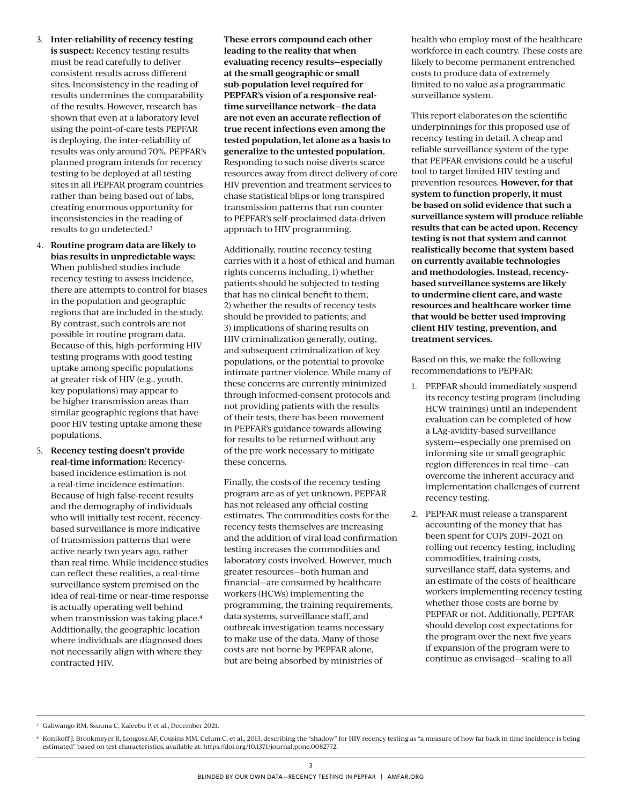- 3. **Inter-reliability of recency testing is suspect:** Recency testing results must be read carefully to deliver consistent results across different sites. Inconsistency in the reading of results undermines the comparability of the results. However, research has shown that even at a laboratory level using the point-of-care tests PEPFAR is deploying, the inter-reliability of results was only around 70%. PEPFAR's planned program intends for recency testing to be deployed at all testing sites in all PEPFAR program countries rather than being based out of labs, creating enormous opportunity for inconsistencies in the reading of results to go undetected.3
- 4. **Routine program data are likely to bias results in unpredictable ways:**  When published studies include recency testing to assess incidence, there are attempts to control for biases in the population and geographic regions that are included in the study. By contrast, such controls are not possible in routine program data. Because of this, high-performing HIV testing programs with good testing uptake among specific populations at greater risk of HIV (e.g., youth, key populations) may appear to be higher transmission areas than similar geographic regions that have poor HIV testing uptake among these populations.
- 5. **Recency testing doesn't provide real-time information:** Recencybased incidence estimation is not a real-time incidence estimation. Because of high false-recent results and the demography of individuals who will initially test recent, recencybased surveillance is more indicative of transmission patterns that were active nearly two years ago, rather than real time. While incidence studies can reflect these realities, a real-time surveillance system premised on the idea of real-time or near-time response is actually operating well behind when transmission was taking place.<sup>4</sup> Additionally, the geographic location where individuals are diagnosed does not necessarily align with where they contracted HIV.

**These errors compound each other leading to the reality that when evaluating recency results—especially at the small geographic or small sub-population level required for PEPFAR's vision of a responsive realtime surveillance network—the data are not even an accurate reflection of true recent infections even among the tested population, let alone as a basis to generalize to the untested population.**  Responding to such noise diverts scarce resources away from direct delivery of core HIV prevention and treatment services to chase statistical blips or long transpired transmission patterns that run counter to PEPFAR's self-proclaimed data-driven approach to HIV programming.

Additionally, routine recency testing carries with it a host of ethical and human rights concerns including, 1) whether patients should be subjected to testing that has no clinical benefit to them; 2) whether the results of recency tests should be provided to patients; and 3) implications of sharing results on HIV criminalization generally, outing, and subsequent criminalization of key populations, or the potential to provoke intimate partner violence. While many of these concerns are currently minimized through informed-consent protocols and not providing patients with the results of their tests, there has been movement in PEPFAR's guidance towards allowing for results to be returned without any of the pre-work necessary to mitigate these concerns.

Finally, the costs of the recency testing program are as of yet unknown. PEPFAR has not released any official costing estimates. The commodities costs for the recency tests themselves are increasing and the addition of viral load confirmation testing increases the commodities and laboratory costs involved. However, much greater resources—both human and financial—are consumed by healthcare workers (HCWs) implementing the programming, the training requirements, data systems, surveillance staff, and outbreak investigation teams necessary to make use of the data. Many of those costs are not borne by PEPFAR alone, but are being absorbed by ministries of

health who employ most of the healthcare workforce in each country. These costs are likely to become permanent entrenched costs to produce data of extremely limited to no value as a programmatic surveillance system.

This report elaborates on the scientific underpinnings for this proposed use of recency testing in detail. A cheap and reliable surveillance system of the type that PEPFAR envisions could be a useful tool to target limited HIV testing and prevention resources. **However, for that system to function properly, it must be based on solid evidence that such a surveillance system will produce reliable results that can be acted upon. Recency testing is not that system and cannot realistically become that system based on currently available technologies and methodologies. Instead, recencybased surveillance systems are likely to undermine client care, and waste resources and healthcare worker time that would be better used improving client HIV testing, prevention, and treatment services.**

Based on this, we make the following recommendations to PEPFAR:

- 1. PEPFAR should immediately suspend its recency testing program (including HCW trainings) until an independent evaluation can be completed of how a LAg-avidity-based surveillance system—especially one premised on informing site or small geographic region differences in real time—can overcome the inherent accuracy and implementation challenges of current recency testing.
- 2. PEPFAR must release a transparent accounting of the money that has been spent for COPs 2019–2021 on rolling out recency testing, including commodities, training costs, surveillance staff, data systems, and an estimate of the costs of healthcare workers implementing recency testing whether those costs are borne by PEPFAR or not. Additionally, PEPFAR should develop cost expectations for the program over the next five years if expansion of the program were to continue as envisaged—scaling to all

<sup>3</sup> Galiwango RM, Ssuuna C, Kaleebu P, et al., December 2021.

<sup>4</sup> Konikoff J, Brookmeyer R, Longosz AF, Cousins MM, Celum C, et al., 2013, describing the "shadow" for HIV recency testing as "a measure of how far back in time incidence is being estimated" based on test characteristics, available at:<https://doi.org/10.1371/journal.pone.0082772>.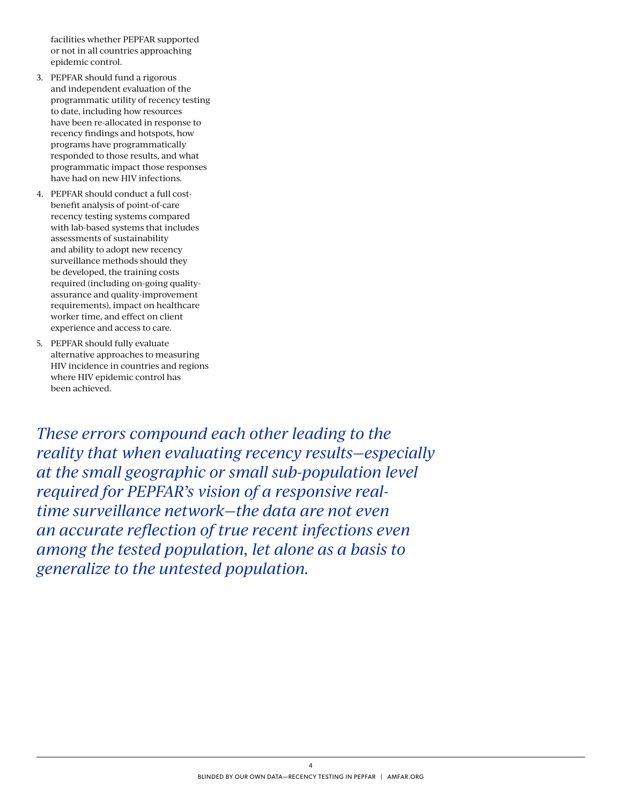facilities whether PEPFAR supported or not in all countries approaching epidemic control.

- 3. PEPFAR should fund a rigorous and independent evaluation of the programmatic utility of recency testing to date, including how resources have been re-allocated in response to recency findings and hotspots, how programs have programmatically responded to those results, and what programmatic impact those responses have had on new HIV infections.
- 4. PEPFAR should conduct a full costbenefit analysis of point-of-care recency testing systems compared with lab-based systems that includes assessments of sustainability and ability to adopt new recency surveillance methods should they be developed, the training costs required (including on-going qualityassurance and quality-improvement requirements), impact on healthcare worker time, and effect on client experience and access to care.
- 5. PEPFAR should fully evaluate alternative approaches to measuring HIV incidence in countries and regions where HIV epidemic control has been achieved.

*These errors compound each other leading to the reality that when evaluating recency results—especially at the small geographic or small sub-population level required for PEPFAR's vision of a responsive realtime surveillance network—the data are not even an accurate reflection of true recent infections even among the tested population, let alone as a basis to generalize to the untested population.*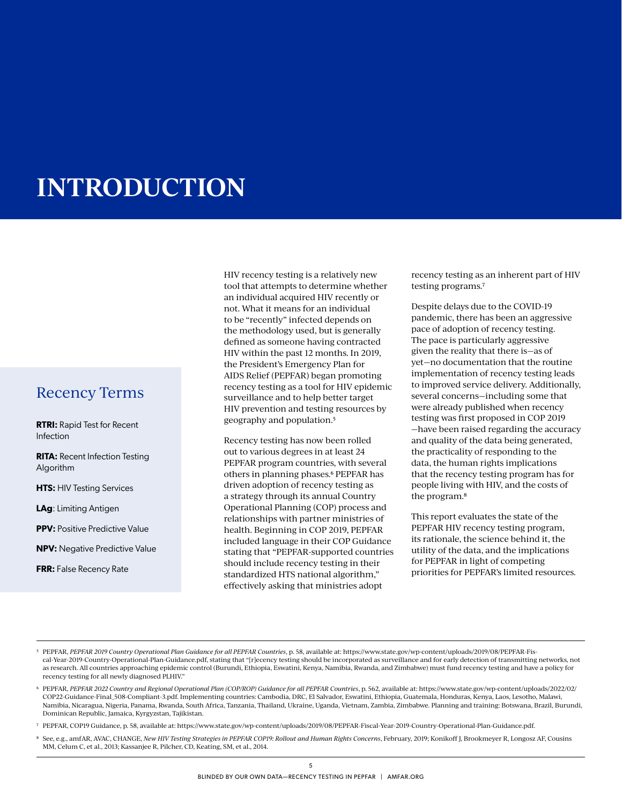# **INTRODUCTION**

### Recency Terms

**RTRI:** Rapid Test for Recent Infection

**RITA:** Recent Infection Testing Algorithm

**HTS: HIV Testing Services** 

**LAg**: Limiting Antigen

**PPV:** Positive Predictive Value

**NPV:** Negative Predictive Value

**FRR:** False Recency Rate

HIV recency testing is a relatively new tool that attempts to determine whether an individual acquired HIV recently or not. What it means for an individual to be "recently" infected depends on the methodology used, but is generally defined as someone having contracted HIV within the past 12 months. In 2019, the President's Emergency Plan for AIDS Relief (PEPFAR) began promoting recency testing as a tool for HIV epidemic surveillance and to help better target HIV prevention and testing resources by geography and population.5

Recency testing has now been rolled out to various degrees in at least 24 PEPFAR program countries, with several others in planning phases.6 PEPFAR has driven adoption of recency testing as a strategy through its annual Country Operational Planning (COP) process and relationships with partner ministries of health. Beginning in COP 2019, PEPFAR included language in their COP Guidance stating that "PEPFAR-supported countries should include recency testing in their standardized HTS national algorithm," effectively asking that ministries adopt

recency testing as an inherent part of HIV testing programs.7

Despite delays due to the COVID-19 pandemic, there has been an aggressive pace of adoption of recency testing. The pace is particularly aggressive given the reality that there is—as of yet—no documentation that the routine implementation of recency testing leads to improved service delivery. Additionally, several concerns—including some that were already published when recency testing was first proposed in COP 2019 —have been raised regarding the accuracy and quality of the data being generated, the practicality of responding to the data, the human rights implications that the recency testing program has for people living with HIV, and the costs of the program.8

This report evaluates the state of the PEPFAR HIV recency testing program, its rationale, the science behind it, the utility of the data, and the implications for PEPFAR in light of competing priorities for PEPFAR's limited resources.

- 5 PEPFAR, *PEPFAR 2019 Country Operational Plan Guidance for all PEPFAR Countries*, p. 58, available at: [https://www.state.gov/wp-content/uploads/2019/08/PEPFAR-Fis](https://www.state.gov/wp-content/uploads/2019/08/PEPFAR-Fiscal-Year-2019-Country-Operational-Plan-Guidance.pdf)[cal-Year-2019-Country-Operational-Plan-Guidance.pdf](https://www.state.gov/wp-content/uploads/2019/08/PEPFAR-Fiscal-Year-2019-Country-Operational-Plan-Guidance.pdf), stating that "[r]ecency testing should be incorporated as surveillance and for early detection of transmitting networks, not as research. All countries approaching epidemic control (Burundi, Ethiopia, Eswatini, Kenya, Namibia, Rwanda, and Zimbabwe) must fund recency testing and have a policy for recency testing for all newly diagnosed PLHIV."
- 6 PEPFAR, *PEPFAR 2022 Country and Regional Operational Plan (COP/ROP) Guidance for all PEPFAR Countries*, p. 562, available at: [https://www.state.gov/wp-content/uploads/2022/02/](https://www.state.gov/wp-content/uploads/2022/02/COP22-Guidance-Final_508-Compliant-3.pdf) [COP22-Guidance-Final\\_508-Compliant-3.pdf](https://www.state.gov/wp-content/uploads/2022/02/COP22-Guidance-Final_508-Compliant-3.pdf). Implementing countries: Cambodia, DRC, El Salvador, Eswatini, Ethiopia, Guatemala, Honduras, Kenya, Laos, Lesotho, Malawi, Namibia, Nicaragua, Nigeria, Panama, Rwanda, South Africa, Tanzania, Thailand, Ukraine, Uganda, Vietnam, Zambia, Zimbabwe. Planning and training: Botswana, Brazil, Burundi, Dominican Republic, Jamaica, Kyrgyzstan, Tajikistan.
- 7 PEPFAR, COP19 Guidance, p. 58, available at: https://www.state.gov/wp-content/uploads/2019/08/PEPFAR-Fiscal-Year-2019-Country-Operational-Plan-Guidance.pdf.
- 8 See, e.g., amfAR, AVAC, CHANGE, *New HIV Testing Strategies in PEPFAR COP19: Rollout and Human Rights Concerns*, February, 2019; Konikoff J, Brookmeyer R, Longosz AF, Cousins MM, Celum C, et al., 2013; Kassanjee R, Pilcher, CD, Keating, SM, et al., 2014.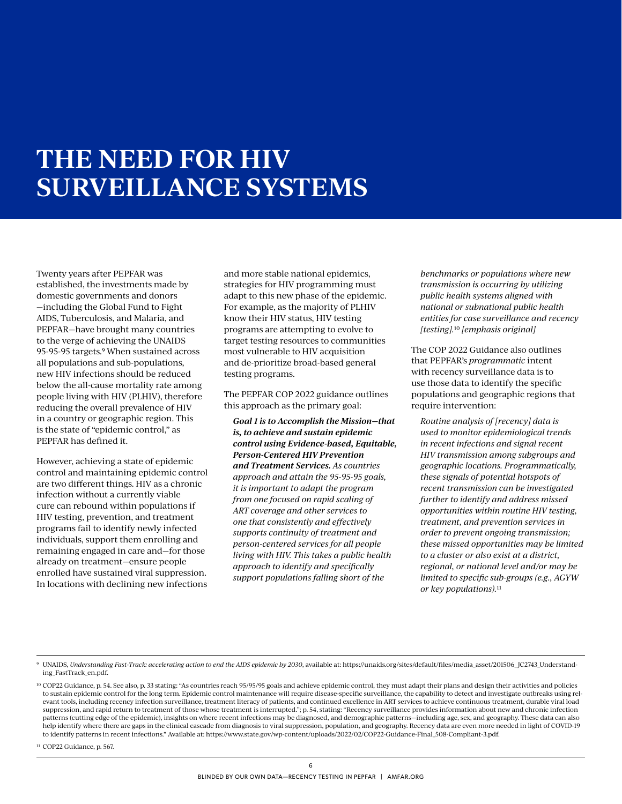# **THE NEED FOR HIV SURVEILLANCE SYSTEMS**

Twenty years after PEPFAR was established, the investments made by domestic governments and donors —including the Global Fund to Fight AIDS, Tuberculosis, and Malaria, and PEPFAR—have brought many countries to the verge of achieving the UNAIDS 95-95-95 targets.9 When sustained across all populations and sub-populations, new HIV infections should be reduced below the all-cause mortality rate among people living with HIV (PLHIV), therefore reducing the overall prevalence of HIV in a country or geographic region. This is the state of "epidemic control," as PEPFAR has defined it.

However, achieving a state of epidemic control and maintaining epidemic control are two different things. HIV as a chronic infection without a currently viable cure can rebound within populations if HIV testing, prevention, and treatment programs fail to identify newly infected individuals, support them enrolling and remaining engaged in care and—for those already on treatment—ensure people enrolled have sustained viral suppression. In locations with declining new infections

and more stable national epidemics, strategies for HIV programming must adapt to this new phase of the epidemic. For example, as the majority of PLHIV know their HIV status, HIV testing programs are attempting to evolve to target testing resources to communities most vulnerable to HIV acquisition and de-prioritize broad-based general testing programs.

The PEPFAR COP 2022 guidance outlines this approach as the primary goal:

*Goal 1 is to Accomplish the Mission—that is, to achieve and sustain epidemic control using Evidence-based, Equitable, Person-Centered HIV Prevention and Treatment Services. As countries approach and attain the 95-95-95 goals, it is important to adapt the program from one focused on rapid scaling of ART coverage and other services to one that consistently and effectively supports continuity of treatment and person-centered services for all people living with HIV. This takes a public health approach to identify and specifically support populations falling short of the* 

*benchmarks or populations where new transmission is occurring by utilizing public health systems aligned with national or subnational public health entities for case surveillance and recency [testing].*10 *[emphasis original]*

The COP 2022 Guidance also outlines that PEPFAR's *programmatic* intent with recency surveillance data is to use those data to identify the specific populations and geographic regions that require intervention:

*Routine analysis of [recency] data is used to monitor epidemiological trends in recent infections and signal recent HIV transmission among subgroups and geographic locations. Programmatically, these signals of potential hotspots of recent transmission can be investigated further to identify and address missed opportunities within routine HIV testing, treatment, and prevention services in order to prevent ongoing transmission; these missed opportunities may be limited to a cluster or also exist at a district, regional, or national level and/or may be limited to specific sub-groups (e.g., AGYW or key populations).*11

<sup>11</sup> COP22 Guidance, p. 567.

<sup>9</sup> UNAIDS, *Understanding Fast-Track: accelerating action to end the AIDS epidemic by 2030*, available at: [https://unaids.org/sites/default/files/media\\_asset/201506\\_ JC2743\\_Understand](https://unaids.org/sites/default/files/media_asset/201506_JC2743_Understanding_FastTrack_en.pdf)[ing\\_FastTrack\\_en.pdf](https://unaids.org/sites/default/files/media_asset/201506_JC2743_Understanding_FastTrack_en.pdf).

<sup>10</sup> COP22 Guidance, p. 54. See also, p. 33 stating: "As countries reach 95/95/95 goals and achieve epidemic control, they must adapt their plans and design their activities and policies to sustain epidemic control for the long term. Epidemic control maintenance will require disease-specific surveillance, the capability to detect and investigate outbreaks using relevant tools, including recency infection surveillance, treatment literacy of patients, and continued excellence in ART services to achieve continuous treatment, durable viral load suppression, and rapid return to treatment of those whose treatment is interrupted."; p. 54, stating: "Recency surveillance provides information about new and chronic infection patterns (cutting edge of the epidemic), insights on where recent infections may be diagnosed, and demographic patterns—including age, sex, and geography. These data can also help identify where there are gaps in the clinical cascade from diagnosis to viral suppression, population, and geography. Recency data are even more needed in light of COVID-19 to identify patterns in recent infections." Available at: https://www.state.gov/wp-content/uploads/2022/02/COP22-Guidance-Final\_508-Compliant-3.pdf.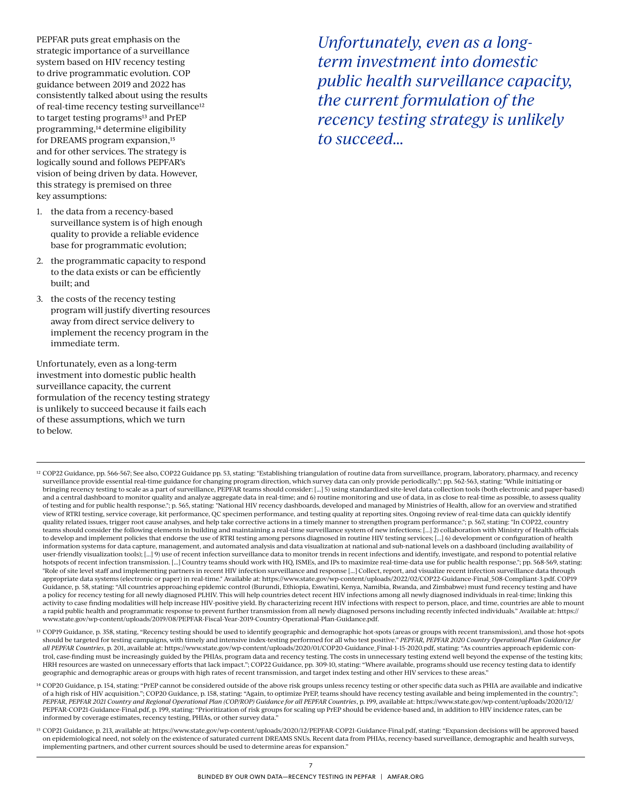PEPFAR puts great emphasis on the strategic importance of a surveillance system based on HIV recency testing to drive programmatic evolution. COP guidance between 2019 and 2022 has consistently talked about using the results of real-time recency testing surveillance<sup>12</sup> to target testing programs<sup>13</sup> and PrEP programming,14 determine eligibility for DREAMS program expansion,<sup>15</sup> and for other services. The strategy is logically sound and follows PEPFAR's vision of being driven by data. However, this strategy is premised on three key assumptions:

- 1. the data from a recency-based surveillance system is of high enough quality to provide a reliable evidence base for programmatic evolution;
- 2. the programmatic capacity to respond to the data exists or can be efficiently built; and
- 3. the costs of the recency testing program will justify diverting resources away from direct service delivery to implement the recency program in the immediate term.

Unfortunately, even as a long-term investment into domestic public health surveillance capacity, the current formulation of the recency testing strategy is unlikely to succeed because it fails each of these assumptions, which we turn to below.

*Unfortunately, even as a longterm investment into domestic public health surveillance capacity, the current formulation of the recency testing strategy is unlikely to succeed…*

- <sup>12</sup> COP22 Guidance, pp. 566-567; See also, COP22 Guidance pp. 53, stating: "Establishing triangulation of routine data from surveillance, program, laboratory, pharmacy, and recency surveillance provide essential real-time guidance for changing program direction, which survey data can only provide periodically."; pp. 562-563, stating: "While initiating or bringing recency testing to scale as a part of surveillance, PEPFAR teams should consider: [...] 5) using standardized site-level data collection tools (both electronic and paper-based) and a central dashboard to monitor quality and analyze aggregate data in real-time; and 6) routine monitoring and use of data, in as close to real-time as possible, to assess quality of testing and for public health response."; p. 565, stating: "National HIV recency dashboards, developed and managed by Ministries of Health, allow for an overview and stratified view of RTRI testing, service coverage, kit performance, QC specimen performance, and testing quality at reporting sites. Ongoing review of real-time data can quickly identify quality related issues, trigger root cause analyses, and help take corrective actions in a timely manner to strengthen program performance."; p. 567, stating: "In COP22, country teams should consider the following elements in building and maintaining a real-time surveillance system of new infections: [...] 2) collaboration with Ministry of Health officials to develop and implement policies that endorse the use of RTRI testing among persons diagnosed in routine HIV testing services; [...] 6) development or configuration of health information systems for data capture, management, and automated analysis and data visualization at national and sub-national levels on a dashboard (including availability of user-friendly visualization tools); [...] 9) use of recent infection surveillance data to monitor trends in recent infections and identify, investigate, and respond to potential relative hotspots of recent infection transmission. [...] Country teams should work with HQ, ISMEs, and IPs to maximize real-time-data use for public health response."; pp. 568-569, stating: "Role of site level staff and implementing partners in recent HIV infection surveillance and response [...] Collect, report, and visualize recent infection surveillance data through appropriate data systems (electronic or paper) in real-time." Available at: https://www.state.gov/wp-content/uploads/2022/02/COP22-Guidance-Final\_508-Compliant-3.pdf. COP19 Guidance, p. 58, stating: "All countries approaching epidemic control (Burundi, Ethiopia, Eswatini, Kenya, Namibia, Rwanda, and Zimbabwe) must fund recency testing and have a policy for recency testing for all newly diagnosed PLHIV. This will help countries detect recent HIV infections among all newly diagnosed individuals in real-time; linking this activity to case finding modalities will help increase HIV-positive yield. By characterizing recent HIV infections with respect to person, place, and time, countries are able to mount a rapid public health and programmatic response to prevent further transmission from all newly diagnosed persons including recently infected individuals." Available at: https:// www.state.gov/wp-content/uploads/2019/08/PEPFAR-Fiscal-Year-2019-Country-Operational-Plan-Guidance.pdf.
- 13 COP19 Guidance, p. 358, stating, "Recency testing should be used to identify geographic and demographic hot-spots (areas or groups with recent transmission), and those hot-spots should be targeted for testing campaigns, with timely and intensive index-testing performed for all who test positive." *PEPFAR, PEPFAR 2020 Country Operational Plan Guidance for all PEPFAR Countries*, p. 201, available at: https://www.state.gov/wp-content/uploads/2020/01/COP20-Guidance\_Final-1-15-2020.pdf, stating: "As countries approach epidemic control, case-finding must be increasingly guided by the PHIAs, program data and recency testing. The costs in unnecessary testing extend well beyond the expense of the testing kits; HRH resources are wasted on unnecessary efforts that lack impact."; COP22 Guidance, pp. 309-10, stating: "Where available, programs should use recency testing data to identify geographic and demographic areas or groups with high rates of recent transmission, and target index testing and other HIV services to these areas."
- 14 COP20 Guidance, p. 154, stating: "PrEP cannot be considered outside of the above risk groups unless recency testing or other specific data such as PHIA are available and indicative of a high risk of HIV acquisition."; COP20 Guidance, p. 158, stating: "Again, to optimize PrEP, teams should have recency testing available and being implemented in the country."; *PEPFAR, PEPFAR 2021 Country and Regional Operational Plan (COP/ROP) Guidance for all PEPFAR Countries*, p. 199, available at: [https://www.state.gov/wp-content/uploads/2020/12/](https://www.state.gov/wp-content/uploads/2020/12/PEPFAR-COP21-Guidance-Final.pdf) [PEPFAR-COP21-Guidance-Final.pdf,](https://www.state.gov/wp-content/uploads/2020/12/PEPFAR-COP21-Guidance-Final.pdf) p. 199, stating: "Prioritization of risk groups for scaling up PrEP should be evidence-based and, in addition to HIV incidence rates, can be informed by coverage estimates, recency testing, PHIAs, or other survey data."
- 15 COP21 Guidance, p. 213, available at: https://www.state.gov/wp-content/uploads/2020/12/PEPFAR-COP21-Guidance-Final.pdf, stating: "Expansion decisions will be approved based on epidemiological need, not solely on the existence of saturated current DREAMS SNUs. Recent data from PHIAs, recency-based surveillance, demographic and health surveys, implementing partners, and other current sources should be used to determine areas for expansion."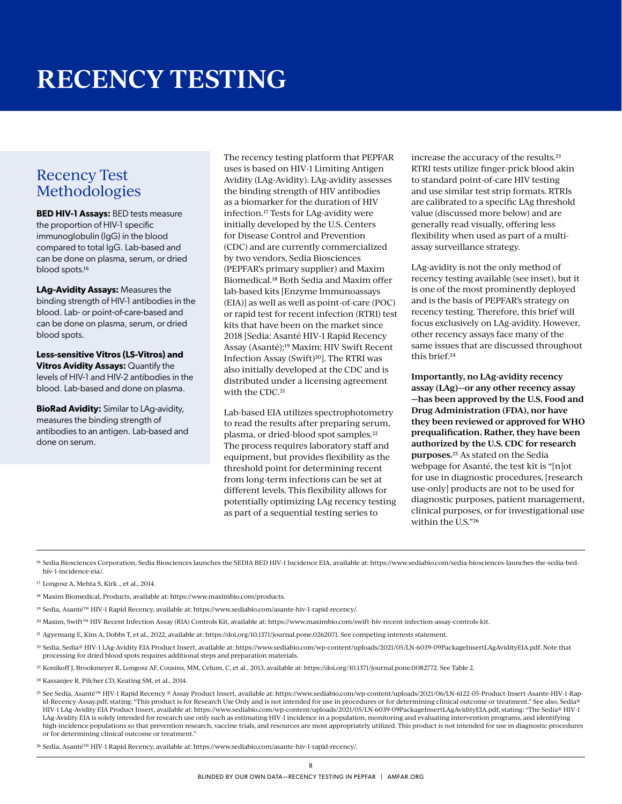## Recency Test Methodologies

**BED HIV-1 Assays:** BED tests measure the proportion of HIV-1 specific immunoglobulin (IgG) in the blood compared to total IgG. Lab-based and can be done on plasma, serum, or dried blood spots.16

**LAg-Avidity Assays:** Measures the binding strength of HIV-1 antibodies in the blood. Lab- or point-of-care-based and can be done on plasma, serum, or dried blood spots.

**Less-sensitive Vitros (LS-Vitros) and Vitros Avidity Assays:** Quantify the levels of HIV-1 and HIV-2 antibodies in the blood. Lab-based and done on plasma.

**BioRad Avidity:** Similar to LAg-avidity, measures the binding strength of antibodies to an antigen. Lab-based and done on serum.

The recency testing platform that PEPFAR uses is based on HIV-1 Limiting Antigen Avidity (LAg-Avidity). LAg-avidity assesses the binding strength of HIV antibodies as a biomarker for the duration of HIV infection.17 Tests for LAg-avidity were initially developed by the U.S. Centers for Disease Control and Prevention (CDC) and are currently commercialized by two vendors, Sedia Biosciences (PEPFAR's primary supplier) and Maxim Biomedical.18 Both Sedia and Maxim offer lab-based kits [Enzyme Immunoassays (EIA)] as well as well as point-of-care (POC) or rapid test for recent infection (RTRI) test kits that have been on the market since 2018 [Sedia: Asanté HIV-1 Rapid Recency Assay (Asanté);19 Maxim: HIV Swift Recent Infection Assay (Swift)<sup>20</sup>]. The RTRI was also initially developed at the CDC and is distributed under a licensing agreement with the CDC.<sup>21</sup>

Lab-based EIA utilizes spectrophotometry to read the results after preparing serum, plasma, or dried-blood spot samples.22 The process requires laboratory staff and equipment, but provides flexibility as the threshold point for determining recent from long-term infections can be set at different levels. This flexibility allows for potentially optimizing LAg recency testing as part of a sequential testing series to

increase the accuracy of the results.23 RTRI tests utilize finger-prick blood akin to standard point-of-care HIV testing and use similar test strip formats. RTRIs are calibrated to a specific LAg threshold value (discussed more below) and are generally read visually, offering less flexibility when used as part of a multiassay surveillance strategy.

LAg-avidity is not the only method of recency testing available (see inset), but it is one of the most prominently deployed and is the basis of PEPFAR's strategy on recency testing. Therefore, this brief will focus exclusively on LAg-avidity. However, other recency assays face many of the same issues that are discussed throughout this brief.24

**Importantly, no LAg-avidity recency assay (LAg)—or any other recency assay —has been approved by the U.S. Food and Drug Administration (FDA), nor have they been reviewed or approved for WHO prequalification. Rather, they have been authorized by the U.S. CDC for research purposes.**25 As stated on the Sedia webpage for Asanté, the test kit is "[n]ot for use in diagnostic procedures, [research use-only] products are not to be used for diagnostic purposes, patient management, clinical purposes, or for investigational use within the U.S."26

16 Sedia Biosciences Corporation, Sedia Biosciences launches the SEDIA BED HIV-1 Incidence EIA, available at: https://www.sediabio.com/sedia-biosciences-launches-the-sedia-bedhiv-1-incidence-eia/.

- 17 Longosz A, Mehta S, Kirk ., et al., 2014.
- 18 Maxim Biomedical, Products, available at: https://www.maximbio.com/products.
- 19 Sedia, Asanté™ HIV-1 Rapid Recency, available at: https://www.sediabio.com/asante-hiv-1-rapid-recency/.
- 20 Maxim, Swift™ HIV Recent Infection Assay (RIA) Controls Kit, available at: https://www.maximbio.com/swift-hiv-recent-infection-assay-controls-kit.
- 21 Agyemang E, Kim A, Dobbs T, et al., 2022, available at: https://doi.org/10.1371/journal.pone.0262071. See competing interests statement.
- 22 Sedia, Sedia® HIV-1 LAg-Avidity EIA Product Insert, available at: https://www.sediabio.com/wp-content/uploads/2021/05/LN-6039-09PackageInsertLAgAvidityEIA.pdf. Note that processing for dried blood spots requires additional steps and preparation materials.
- 23 Konikoff J, Brookmeyer R, Longosz AF, Cousins, MM, Celum, C, et al., 2013, available at: https://doi.org/10.1371/journal.pone.0082772. See Table 2.
- 24 Kassanjee R, Pilcher CD, Keating SM, et al., 2014.

25 See Sedia, Asanté™ HIV-1 Rapid Recency ® Assay Product Insert, available at: [https://www.sediabio.com/wp-content/uploads/2021/06/LN-6122-05-Product-Insert-Asante-HIV-1-Rap](https://www.sediabio.com/wp-content/uploads/2021/06/LN-6122-05-Product-Insert-Asante-HIV-1-Rapid-Recency-Assay.pdf)[id-Recency-Assay.pdf](https://www.sediabio.com/wp-content/uploads/2021/06/LN-6122-05-Product-Insert-Asante-HIV-1-Rapid-Recency-Assay.pdf), stating: "This product is for Research Use Only and is not intended for use in procedures or for determining clinical outcome or treatment." See also, Sedia® HIV-1 LAg-Avidity EIA Product Insert, available at: https://www.sediabio.com/wp-content/uploads/2021/05/LN-6039-09PackageInsertLAgAvidityEIA.pdf, stating: "The Sedia® HIV-1 LAg-Avidity EIA is solely intended for research use only such as estimating HIV-1 incidence in a population, monitoring and evaluating intervention programs, and identifying high-incidence populations so that prevention research, vaccine trials, and resources are most appropriately utilized. This product is not intended for use in diagnostic procedures or for determining clinical outcome or treatment."

26 Sedia, Asanté™ HIV-1 Rapid Recency, available at: https://www.sediabio.com/asante-hiv-1-rapid-recency/.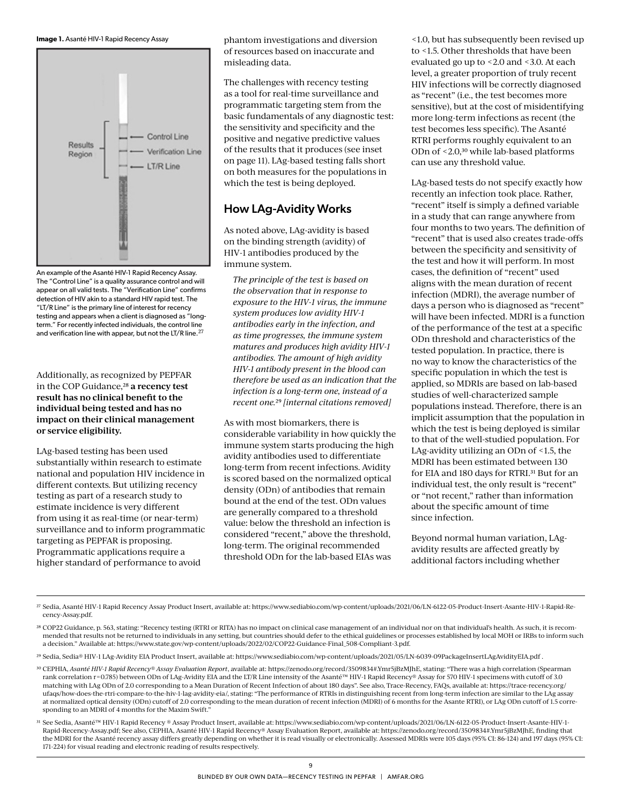



An example of the Asanté HIV-1 Rapid Recency Assay. The "Control Line" is a quality assurance control and will appear on all valid tests. The "Verification Line" confirms detection of HIV akin to a standard HIV rapid test. The "LT/R Line" is the primary line of interest for recency testing and appears when a client is diagnosed as "longterm." For recently infected individuals, the control line and verification line with appear, but not the LT/R line.<sup>27</sup>

#### Additionally, as recognized by PEPFAR in the COP Guidance,28 **a recency test result has no clinical benefit to the individual being tested and has no impact on their clinical management or service eligibility.**

LAg-based testing has been used substantially within research to estimate national and population HIV incidence in different contexts. But utilizing recency testing as part of a research study to estimate incidence is very different from using it as real-time (or near-term) surveillance and to inform programmatic targeting as PEPFAR is proposing. Programmatic applications require a higher standard of performance to avoid

phantom investigations and diversion of resources based on inaccurate and misleading data.

The challenges with recency testing as a tool for real-time surveillance and programmatic targeting stem from the basic fundamentals of any diagnostic test: the sensitivity and specificity and the positive and negative predictive values of the results that it produces (see inset on page 11). LAg-based testing falls short on both measures for the populations in which the test is being deployed.

### How LAg-Avidity Works

As noted above, LAg-avidity is based on the binding strength (avidity) of HIV-1 antibodies produced by the immune system.

*The principle of the test is based on the observation that in response to exposure to the HIV-1 virus, the immune system produces low avidity HIV-1 antibodies early in the infection, and as time progresses, the immune system matures and produces high avidity HIV-1 antibodies. The amount of high avidity HIV-1 antibody present in the blood can therefore be used as an indication that the infection is a long-term one, instead of a recent one.*29 *[internal citations removed]*

As with most biomarkers, there is considerable variability in how quickly the immune system starts producing the high avidity antibodies used to differentiate long-term from recent infections. Avidity is scored based on the normalized optical density (ODn) of antibodies that remain bound at the end of the test. ODn values are generally compared to a threshold value: below the threshold an infection is considered "recent," above the threshold, long-term. The original recommended threshold ODn for the lab-based EIAs was

<1.0, but has subsequently been revised up to <1.5. Other thresholds that have been evaluated go up to <2.0 and <3.0. At each level, a greater proportion of truly recent HIV infections will be correctly diagnosed as "recent" (i.e., the test becomes more sensitive), but at the cost of misidentifying more long-term infections as recent (the test becomes less specific). The Asanté RTRI performs roughly equivalent to an ODn of <2.0,30 while lab-based platforms can use any threshold value.

LAg-based tests do not specify exactly how recently an infection took place. Rather, "recent" itself is simply a defined variable in a study that can range anywhere from four months to two years. The definition of "recent" that is used also creates trade-offs between the specificity and sensitivity of the test and how it will perform. In most cases, the definition of "recent" used aligns with the mean duration of recent infection (MDRI), the average number of days a person who is diagnosed as "recent" will have been infected. MDRI is a function of the performance of the test at a specific ODn threshold and characteristics of the tested population. In practice, there is no way to know the characteristics of the specific population in which the test is applied, so MDRIs are based on lab-based studies of well-characterized sample populations instead. Therefore, there is an implicit assumption that the population in which the test is being deployed is similar to that of the well-studied population. For LAg-avidity utilizing an ODn of <1.5, the MDRI has been estimated between 130 for EIA and 180 days for RTRI.31 But for an individual test, the only result is "recent" or "not recent," rather than information about the specific amount of time since infection.

Beyond normal human variation, LAgavidity results are affected greatly by additional factors including whether

27 Sedia, Asanté HIV-1 Rapid Recency Assay Product Insert, available at: [https://www.sediabio.com/wp-content/uploads/2021/06/LN-6122-05-Product-Insert-Asante-HIV-1-Rapid-Re](https://www.sediabio.com/wp-content/uploads/2021/06/LN-6122-05-Product-Insert-Asante-HIV-1-Rapid-Recency-Assay.pdf)[cency-Assay.pdf.](https://www.sediabio.com/wp-content/uploads/2021/06/LN-6122-05-Product-Insert-Asante-HIV-1-Rapid-Recency-Assay.pdf)

28 COP22 Guidance, p. 563, stating: "Recency testing (RTRI or RITA) has no impact on clinical case management of an individual nor on that individual's health. As such, it is recommended that results not be returned to individuals in any setting, but countries should defer to the ethical guidelines or processes established by local MOH or IRBs to inform such a decision." Available at: https://www.state.gov/wp-content/uploads/2022/02/COP22-Guidance-Final\_508-Compliant-3.pdf.

29 Sedia, Sedia® HIV-1 LAg-Avidity EIA Product Insert, available at: https://www.sediabio.com/wp-content/uploads/2021/05/LN-6039-09PackageInsertLAgAvidityEIA.pdf .

30 CEPHIA, *Asanté HIV-1 Rapid Recency® Assay Evaluation Report*, available at: https://zenodo.org/record/3509834#.Ymr5jBzMJhE, stating: "There was a high correlation (Spearman rank correlation r=0.785) between ODn of LAg-Avidity EIA and the LT/R Line intensity of the Asanté™ HIV-1 Rapid Recency® Assay for 570 HIV-1 specimens with cutoff of 3.0 matching with LAg ODn of 2.0 corresponding to a Mean Duration of Recent Infection of about 180 days". See also, Trace-Recency, FAQs, available at: [https://trace-recency.org/](https://trace-recency.org/ufaqs/how-does-the-rtri-compare-to-the-hiv-1-lag-avidity-eia/) [ufaqs/how-does-the-rtri-compare-to-the-hiv-1-lag-avidity-eia/,](https://trace-recency.org/ufaqs/how-does-the-rtri-compare-to-the-hiv-1-lag-avidity-eia/) stating: "The performance of RTRIs in distinguishing recent from long-term infection are similar to the LAg assay at normalized optical density (ODn) cutoff of 2.0 corresponding to the mean duration of recent infection (MDRI) of 6 months for the Asante RTRI), or LAg ODn cutoff of 1.5 corresponding to an MDRI of 4 months for the Maxim Swift."

31 See Sedia, Asanté™ HIV-1 Rapid Recency ® Assay Product Insert, available at: https://www.sediabio.com/wp-content/uploads/2021/06/LN-6122-05-Product-Insert-Asante-HIV-1- Rapid-Recency-Assay.pdf; See also, CEPHIA, Asanté HIV-1 Rapid Recency® Assay Evaluation Report, available at: https://zenodo.org/record/3509834#.Ymr5jBzMJhE, finding that the MDRI for the Asanté recency assay differs greatly depending on whether it is read visually or electronically. Assessed MDRIs were 105 days (95% CI: 86-124) and 197 days (95% CI: 171-224) for visual reading and electronic reading of results respectively.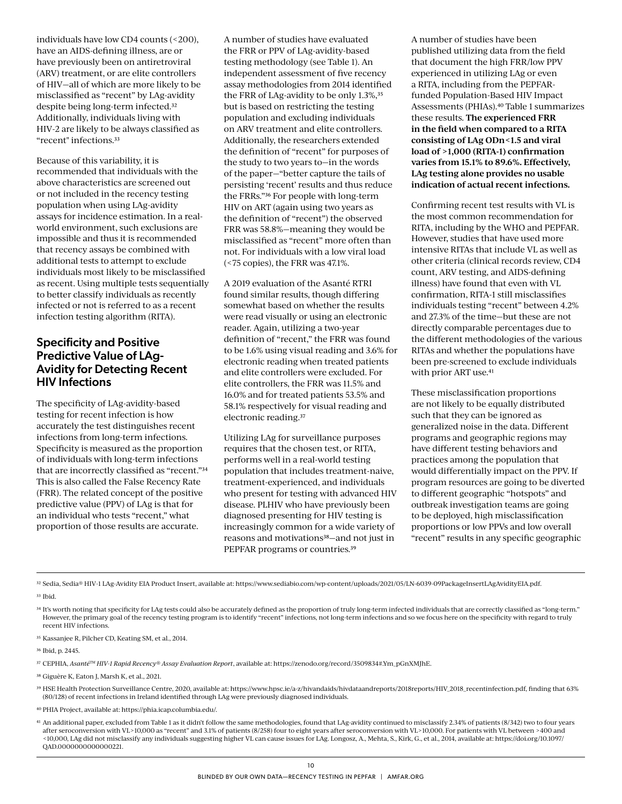individuals have low CD4 counts (<200), have an AIDS-defining illness, are or have previously been on antiretroviral (ARV) treatment, or are elite controllers of HIV—all of which are more likely to be misclassified as "recent" by LAg-avidity despite being long-term infected.32 Additionally, individuals living with HIV-2 are likely to be always classified as "recent" infections.33

Because of this variability, it is recommended that individuals with the above characteristics are screened out or not included in the recency testing population when using LAg-avidity assays for incidence estimation. In a realworld environment, such exclusions are impossible and thus it is recommended that recency assays be combined with additional tests to attempt to exclude individuals most likely to be misclassified as recent. Using multiple tests sequentially to better classify individuals as recently infected or not is referred to as a recent infection testing algorithm (RITA).

#### Specificity and Positive Predictive Value of LAg-Avidity for Detecting Recent HIV Infections

The specificity of LAg-avidity-based testing for recent infection is how accurately the test distinguishes recent infections from long-term infections. Specificity is measured as the proportion of individuals with long-term infections that are incorrectly classified as "recent."34 This is also called the False Recency Rate (FRR). The related concept of the positive predictive value (PPV) of LAg is that for an individual who tests "recent," what proportion of those results are accurate.

A number of studies have evaluated the FRR or PPV of LAg-avidity-based testing methodology (see Table 1). An independent assessment of five recency assay methodologies from 2014 identified the FRR of LAg-avidity to be only 1.3%,<sup>35</sup> but is based on restricting the testing population and excluding individuals on ARV treatment and elite controllers. Additionally, the researchers extended the definition of "recent" for purposes of the study to two years to—in the words of the paper—"better capture the tails of persisting 'recent' results and thus reduce the FRRs."36 For people with long-term HIV on ART (again using two years as the definition of "recent") the observed FRR was 58.8%—meaning they would be misclassified as "recent" more often than not. For individuals with a low viral load (<75 copies), the FRR was 47.1%.

A 2019 evaluation of the Asanté RTRI found similar results, though differing somewhat based on whether the results were read visually or using an electronic reader. Again, utilizing a two-year definition of "recent," the FRR was found to be 1.6% using visual reading and 3.6% for electronic reading when treated patients and elite controllers were excluded. For elite controllers, the FRR was 11.5% and 16.0% and for treated patients 53.5% and 58.1% respectively for visual reading and electronic reading.37

Utilizing LAg for surveillance purposes requires that the chosen test, or RITA, performs well in a real-world testing population that includes treatment-naive, treatment-experienced, and individuals who present for testing with advanced HIV disease. PLHIV who have previously been diagnosed presenting for HIV testing is increasingly common for a wide variety of reasons and motivations<sup>38</sup>-and not just in PEPFAR programs or countries.39

A number of studies have been published utilizing data from the field that document the high FRR/low PPV experienced in utilizing LAg or even a RITA, including from the PEPFARfunded Population-Based HIV Impact Assessments (PHIAs).40 Table 1 summarizes these results. **The experienced FRR in the field when compared to a RITA consisting of LAg ODn<1.5 and viral load of >1,000 (RITA-1) confirmation varies from 15.1% to 89.6%. Effectively, LAg testing alone provides no usable indication of actual recent infections.** 

Confirming recent test results with VL is the most common recommendation for RITA, including by the WHO and PEPFAR. However, studies that have used more intensive RITAs that include VL as well as other criteria (clinical records review, CD4 count, ARV testing, and AIDS-defining illness) have found that even with VL confirmation, RITA-1 still misclassifies individuals testing "recent" between 4.2% and 27.3% of the time—but these are not directly comparable percentages due to the different methodologies of the various RITAs and whether the populations have been pre-screened to exclude individuals with prior ART use.<sup>41</sup>

These misclassification proportions are not likely to be equally distributed such that they can be ignored as generalized noise in the data. Different programs and geographic regions may have different testing behaviors and practices among the population that would differentially impact on the PPV. If program resources are going to be diverted to different geographic "hotspots" and outbreak investigation teams are going to be deployed, high misclassification proportions or low PPVs and low overall "recent" results in any specific geographic

32 Sedia, Sedia® HIV-1 LAg-Avidity EIA Product Insert, available at: https://www.sediabio.com/wp-content/uploads/2021/05/LN-6039-09PackageInsertLAgAvidityEIA.pdf.

33 Ibid.

34 It's worth noting that specificity for LAg tests could also be accurately defined as the proportion of truly long-term infected individuals that are correctly classified as "long-term." However, the primary goal of the recency testing program is to identify "recent" infections, not long-term infections and so we focus here on the specificity with regard to truly recent HIV infections.

35 Kassanjee R, Pilcher CD, Keating SM, et al., 2014.

36 Ibid, p. 2445.

37 CEPHIA, *AsantéTM HIV-1 Rapid Recency® Assay Evaluation Report*, available at: https://zenodo.org/record/3509834#.Ym\_pGnXMJhE.

<sup>38</sup> Giguère K, Eaton I, Marsh K, et al., 2021.

39 HSE Health Protection Surveillance Centre, 2020, available at: https://www.hpsc.ie/a-z/hivandaids/hivdataandreports/2018reports/HIV\_2018\_recentinfection.pdf, finding that 63% (80/128) of recent infections in Ireland identified through LAg were previously diagnosed individuals.

40 PHIA Project, available at: https://phia.icap.columbia.edu/.

41 An additional paper, excluded from Table 1 as it didn't follow the same methodologies, found that LAg-avidity continued to misclassify 2.34% of patients (8/342) two to four years after seroconversion with VL>10,000 as "recent" and 3.1% of patients (8/258) four to eight years after seroconversion with VL>10,000. For patients with VL between >400 and <10,000, LAg did not misclassify any individuals suggesting higher VL can cause issues for LAg. Longosz, A., Mehta, S., Kirk, G., et al., 2014, available at: [https://doi.org/10.1097/](https://doi.org/10.1097/QAD.0000000000000221) [QAD.0000000000000221](https://doi.org/10.1097/QAD.0000000000000221).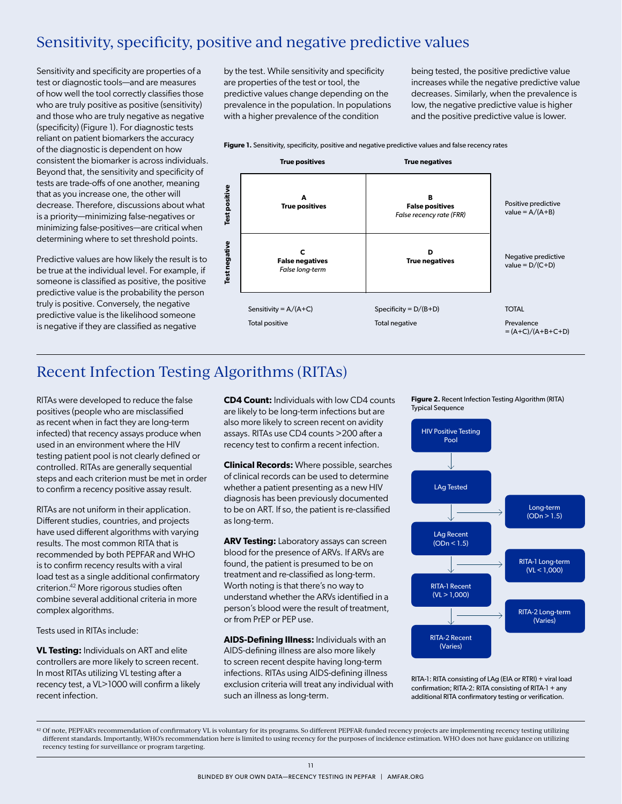## Sensitivity, specificity, positive and negative predictive values

Sensitivity and specificity are properties of a test or diagnostic tools—and are measures of how well the tool correctly classifies those who are truly positive as positive (sensitivity) and those who are truly negative as negative (specificity) (Figure 1). For diagnostic tests reliant on patient biomarkers the accuracy of the diagnostic is dependent on how consistent the biomarker is across individuals. Beyond that, the sensitivity and specificity of tests are trade-offs of one another, meaning that as you increase one, the other will decrease. Therefore, discussions about what is a priority—minimizing false-negatives or minimizing false-positives—are critical when determining where to set threshold points.

Predictive values are how likely the result is to be true at the individual level. For example, if someone is classified as positive, the positive predictive value is the probability the person truly is positive. Conversely, the negative predictive value is the likelihood someone is negative if they are classified as negative

by the test. While sensitivity and specificity are properties of the test or tool, the predictive values change depending on the prevalence in the population. In populations with a higher prevalence of the condition

being tested, the positive predictive value increases while the negative predictive value decreases. Similarly, when the prevalence is low, the negative predictive value is higher and the positive predictive value is lower.

Figure 1. Sensitivity, specificity, positive and negative predictive values and false recency rates



## Recent Infection Testing Algorithms (RITAs)

RITAs were developed to reduce the false positives (people who are misclassified as recent when in fact they are long-term infected) that recency assays produce when used in an environment where the HIV testing patient pool is not clearly defined or controlled. RITAs are generally sequential steps and each criterion must be met in order to confirm a recency positive assay result.

RITAs are not uniform in their application. Different studies, countries, and projects have used different algorithms with varying results. The most common RITA that is recommended by both PEPFAR and WHO is to confirm recency results with a viral load test as a single additional confirmatory criterion.42 More rigorous studies often combine several additional criteria in more complex algorithms.

Tests used in RITAs include:

**VL Testing:** Individuals on ART and elite controllers are more likely to screen recent. In most RITAs utilizing VL testing after a recency test, a VL>1000 will confirm a likely recent infection.

**CD4 Count:** Individuals with low CD4 counts are likely to be long-term infections but are also more likely to screen recent on avidity assays. RITAs use CD4 counts >200 after a recency test to confirm a recent infection.

**Clinical Records:** Where possible, searches of clinical records can be used to determine whether a patient presenting as a new HIV diagnosis has been previously documented to be on ART. If so, the patient is re-classified as long-term.

**ARV Testing:** Laboratory assays can screen blood for the presence of ARVs. If ARVs are found, the patient is presumed to be on treatment and re-classified as long-term. Worth noting is that there's no way to understand whether the ARVs identified in a person's blood were the result of treatment, or from PrEP or PEP use.

**AIDS-Defining Illness:** Individuals with an AIDS-defining illness are also more likely to screen recent despite having long-term infections. RITAs using AIDS-defining illness exclusion criteria will treat any individual with such an illness as long-term.

**Figure 2.** Recent Infection Testing Algorithm (RITA) Typical Sequence



RITA-1: RITA consisting of LAg (EIA or RTRI) + viral load confirmation; RITA-2: RITA consisting of RITA-1 + any additional RITA confirmatory testing or verification.

<sup>42</sup> Of note, PEPFAR's recommendation of confirmatory VL is voluntary for its programs. So different PEPFAR-funded recency projects are implementing recency testing utilizing different standards. Importantly, WHO's recommendation here is limited to using recency for the purposes of incidence estimation. WHO does not have guidance on utilizing recency testing for surveillance or program targeting.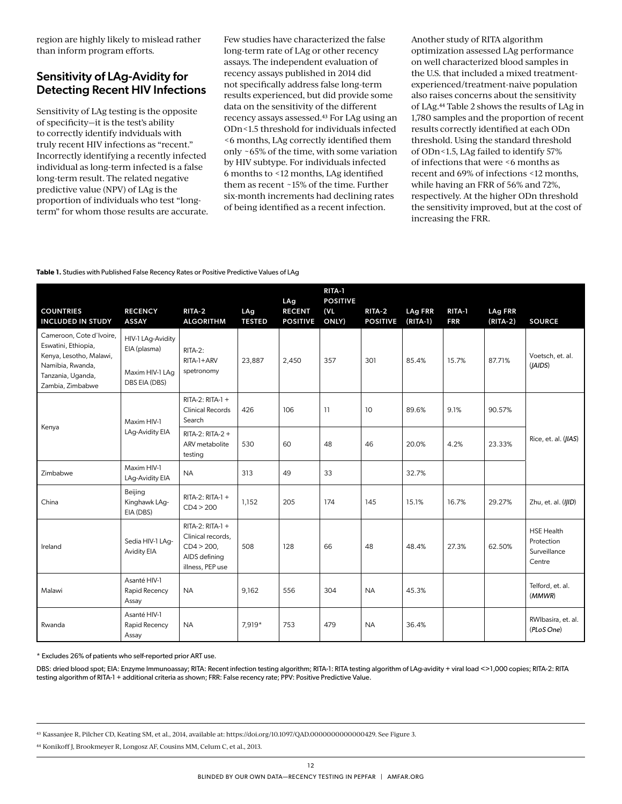region are highly likely to mislead rather than inform program efforts.

### Sensitivity of LAg-Avidity for Detecting Recent HIV Infections

Sensitivity of LAg testing is the opposite of specificity—it is the test's ability to correctly identify indviduals with truly recent HIV infections as "recent." Incorrectly identifying a recently infected individual as long-term infected is a false long-term result. The related negative predictive value (NPV) of LAg is the proportion of individuals who test "longterm" for whom those results are accurate.

Few studies have characterized the false long-term rate of LAg or other recency assays. The independent evaluation of recency assays published in 2014 did not specifically address false long-term results experienced, but did provide some data on the sensitivity of the different recency assays assessed.43 For LAg using an ODn<1.5 threshold for individuals infected <6 months, LAg correctly identified them only ~65% of the time, with some variation by HIV subtype. For individuals infected 6 months to <12 months, LAg identified them as recent ~15% of the time. Further six-month increments had declining rates of being identified as a recent infection.

Another study of RITA algorithm optimization assessed LAg performance on well characterized blood samples in the U.S. that included a mixed treatmentexperienced/treatment-naive population also raises concerns about the sensitivity of LAg.44 Table 2 shows the results of LAg in 1,780 samples and the proportion of recent results correctly identified at each ODn threshold. Using the standard threshold of ODn<1.5, LAg failed to identify 57% of infections that were <6 months as recent and 69% of infections <12 months, while having an FRR of 56% and 72%, respectively. At the higher ODn threshold the sensitivity improved, but at the cost of increasing the FRR.

#### **Table 1.** Studies with Published False Recency Rates or Positive Predictive Values of LAg

| <b>COUNTRIES</b><br><b>INCLUDED IN STUDY</b>                                                                                            | <b>RECENCY</b><br><b>ASSAY</b>                                        | RITA 2<br><b>ALGORITHM</b>                                                                    | LAg<br><b>TESTED</b> | <b>LAg</b><br><b>RECENT</b><br><b>POSITIVE</b> | RITA-1<br><b>POSITIVE</b><br>(VL)<br>ONLY) | RITA-2<br><b>POSITIVE</b> | <b>LAg FRR</b><br>$(RITA-1)$ | RITA 1<br><b>FRR</b> | <b>LAg FRR</b><br>$(RITA-2)$ | <b>SOURCE</b>                                             |
|-----------------------------------------------------------------------------------------------------------------------------------------|-----------------------------------------------------------------------|-----------------------------------------------------------------------------------------------|----------------------|------------------------------------------------|--------------------------------------------|---------------------------|------------------------------|----------------------|------------------------------|-----------------------------------------------------------|
| Cameroon, Cote d'Ivoire,<br>Eswatini, Ethiopia,<br>Kenya, Lesotho, Malawi,<br>Namibia, Rwanda,<br>Tanzania, Uganda,<br>Zambia, Zimbabwe | HIV-1 LAg-Avidity<br>EIA (plasma)<br>Maxim HIV-1 LAg<br>DBS EIA (DBS) | RITA-2:<br>$RITA-1+ARV$<br>spetronomy                                                         | 23,887               | 2,450                                          | 357                                        | 301                       | 85.4%                        | 15.7%                | 87.71%                       | Voetsch, et. al.<br>(IAIDS)                               |
|                                                                                                                                         | Maxim HIV-1                                                           | $RITA-2: RITA-1 +$<br><b>Clinical Records</b><br>Search                                       | 426                  | 106                                            | 11                                         | 10                        | 89.6%                        | 9.1%                 | 90.57%                       | Rice, et. al. (JIAS)                                      |
| Kenya                                                                                                                                   | LAg-Avidity EIA                                                       | RITA-2: RITA-2 +<br>ARV metabolite<br>testing                                                 | 530                  | 60                                             | 48                                         | 46                        | 20.0%                        | 4.2%                 | 23.33%                       |                                                           |
| Zimbabwe                                                                                                                                | Maxim HIV-1<br>LAg-Avidity EIA                                        | <b>NA</b>                                                                                     | 313                  | 49                                             | 33                                         |                           | 32.7%                        |                      |                              |                                                           |
| China                                                                                                                                   | Beijing<br>Kinghawk LAg-<br>EIA (DBS)                                 | RITA-2: RITA-1 +<br>CD4 > 200                                                                 | 1,152                | 205                                            | 174                                        | 145                       | 15.1%                        | 16.7%                | 29.27%                       | Zhu, et. al. (IJID)                                       |
| Ireland                                                                                                                                 | Sedia HIV-1 LAg-<br><b>Avidity EIA</b>                                | $RITA-2: RITA-1 +$<br>Clinical records,<br>$CD4 > 200$ ,<br>AIDS defining<br>illness, PEP use | 508                  | 128                                            | 66                                         | 48                        | 48.4%                        | 27.3%                | 62.50%                       | <b>HSE Health</b><br>Protection<br>Surveillance<br>Centre |
| Malawi                                                                                                                                  | Asanté HIV-1<br>Rapid Recency<br>Assay                                | <b>NA</b>                                                                                     | 9,162                | 556                                            | 304                                        | <b>NA</b>                 | 45.3%                        |                      |                              | Telford, et. al.<br>(MMWR)                                |
| Rwanda                                                                                                                                  | Asanté HIV-1<br>Rapid Recency<br>Assay                                | <b>NA</b>                                                                                     | 7,919*               | 753                                            | 479                                        | <b>NA</b>                 | 36.4%                        |                      |                              | RWIbasira, et. al.<br>(PLoS One)                          |

\* Excludes 26% of patients who self-reported prior ART use.

DBS: dried blood spot; EIA: Enzyme Immunoassay; RITA: Recent infection testing algorithm; RITA-1: RITA testing algorithm of LAg-avidity + viral load <>1,000 copies; RITA-2: RITA testing algorithm of RITA-1 + additional criteria as shown; FRR: False recency rate; PPV: Positive Predictive Value.

43 Kassanjee R, Pilcher CD, Keating SM, et al., 2014, available at: https://doi.org/10.1097/QAD.0000000000000429. See Figure 3.

44 Konikoff J, Brookmeyer R, Longosz AF, Cousins MM, Celum C, et al., 2013.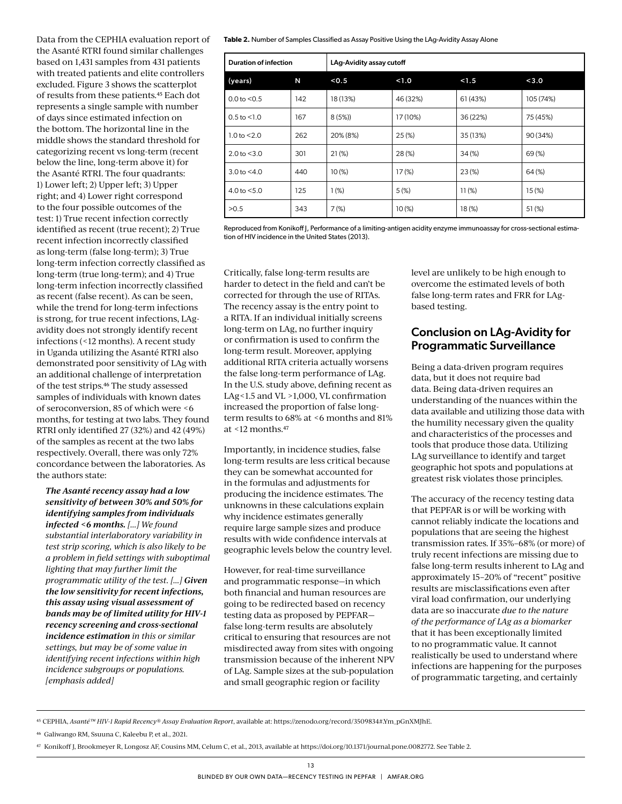Data from the CEPHIA evaluation report of the Asanté RTRI found similar challenges based on 1,431 samples from 431 patients with treated patients and elite controllers excluded. Figure 3 shows the scatterplot of results from these patients.45 Each dot represents a single sample with number of days since estimated infection on the bottom. The horizontal line in the middle shows the standard threshold for categorizing recent vs long-term (recent below the line, long-term above it) for the Asanté RTRI. The four quadrants: 1) Lower left; 2) Upper left; 3) Upper right; and 4) Lower right correspond to the four possible outcomes of the test: 1) True recent infection correctly identified as recent (true recent); 2) True recent infection incorrectly classified as long-term (false long-term); 3) True long-term infection correctly classified as long-term (true long-term); and 4) True long-term infection incorrectly classified as recent (false recent). As can be seen, while the trend for long-term infections is strong, for true recent infections, LAgavidity does not strongly identify recent infections (<12 months). A recent study in Uganda utilizing the Asanté RTRI also demonstrated poor sensitivity of LAg with an additional challenge of interpretation of the test strips.46 The study assessed samples of individuals with known dates of seroconversion, 85 of which were <6 months, for testing at two labs. They found RTRI only identified 27 (32%) and 42 (49%) of the samples as recent at the two labs respectively. Overall, there was only 72% concordance between the laboratories. As the authors state:

#### *The Asanté recency assay had a low sensitivity of between 30% and 50% for identifying samples from individuals infected <6 months. [...] We found substantial interlaboratory variability in test strip scoring, which is also likely to be a problem in field settings with suboptimal lighting that may further limit the programmatic utility of the test. [...] Given the low sensitivity for recent infections, this assay using visual assessment of bands may be of limited utility for HIV-1 recency screening and cross-sectional incidence estimation in this or similar settings, but may be of some value in identifying recent infections within high incidence subgroups or populations. [emphasis added]*

**Table 2.** Number of Samples Classified as Assay Positive Using the LAg-Avidity Assay Alone

| <b>Duration of infection</b> |     | LAg-Avidity assay cutoff |          |                |           |
|------------------------------|-----|--------------------------|----------|----------------|-----------|
| (years)                      | N   | < 0.5                    | 1.0      | < 1.5<br>< 3.0 |           |
| $0.0$ to $< 0.5$             | 142 | 18 (13%)                 | 46 (32%) | 61 (43%)       | 105 (74%) |
| $0.5$ to $< 1.0$             | 167 | 8(5%)                    | 17 (10%) | 36 (22%)       | 75 (45%)  |
| 1.0 to $< 2.0$               | 262 | 20% (8%)                 | 25(%)    | 35 (13%)       | 90 (34%)  |
| $2.0$ to $< 3.0$             | 301 | 21(%)                    | 28(%)    | $34\,(%)$      | 69(%)     |
| $3.0$ to $< 4.0$             | 440 | 10(%)                    | 17(%)    | 23(%)          | $64$ (%)  |
| 4.0 to $< 5.0$               | 125 | 1(%)                     | 5(%)     | 11(%)          | 15(%)     |
| >0.5                         | 343 | 7(%)                     | 10(%)    | 18(%)          | 51(%)     |

Reproduced from Konikoff J, Performance of a limiting-antigen acidity enzyme immunoassay for cross-sectional estimation of HIV incidence in the United States (2013).

Critically, false long-term results are harder to detect in the field and can't be corrected for through the use of RITAs. The recency assay is the entry point to a RITA. If an individual initially screens long-term on LAg, no further inquiry or confirmation is used to confirm the long-term result. Moreover, applying additional RITA criteria actually worsens the false long-term performance of LAg. In the U.S. study above, defining recent as LAg<1.5 and VL >1,000, VL confirmation increased the proportion of false longterm results to 68% at <6 months and 81% at  $\leq$ 12 months.<sup>47</sup>

Importantly, in incidence studies, false long-term results are less critical because they can be somewhat accounted for in the formulas and adjustments for producing the incidence estimates. The unknowns in these calculations explain why incidence estimates generally require large sample sizes and produce results with wide confidence intervals at geographic levels below the country level.

However, for real-time surveillance and programmatic response—in which both financial and human resources are going to be redirected based on recency testing data as proposed by PEPFAR false long-term results are absolutely critical to ensuring that resources are not misdirected away from sites with ongoing transmission because of the inherent NPV of LAg. Sample sizes at the sub-population and small geographic region or facility

level are unlikely to be high enough to overcome the estimated levels of both false long-term rates and FRR for LAgbased testing.

#### Conclusion on LAg-Avidity for Programmatic Surveillance

Being a data-driven program requires data, but it does not require bad data. Being data-driven requires an understanding of the nuances within the data available and utilizing those data with the humility necessary given the quality and characteristics of the processes and tools that produce those data. Utilizing LAg surveillance to identify and target geographic hot spots and populations at greatest risk violates those principles.

The accuracy of the recency testing data that PEPFAR is or will be working with cannot reliably indicate the locations and populations that are seeing the highest transmission rates. If 35%–68% (or more) of truly recent infections are missing due to false long-term results inherent to LAg and approximately 15–20% of "recent" positive results are misclassifications even after viral load confirmation, our underlying data are so inaccurate *due to the nature of the performance of LAg as a biomarker* that it has been exceptionally limited to no programmatic value. It cannot realistically be used to understand where infections are happening for the purposes of programmatic targeting, and certainly

<sup>45</sup> CEPHIA, *Asanté™ HIV-1 Rapid Recency® Assay Evaluation Report*, available at: https://zenodo.org/record/3509834#.Ym\_pGnXMJhE.

<sup>46</sup> Galiwango RM, Ssuuna C, Kaleebu P, et al., 2021.

<sup>47</sup> Konikoff J, Brookmeyer R, Longosz AF, Cousins MM, Celum C, et al., 2013, available at https://doi.org/10.1371/journal.pone.0082772. See Table 2.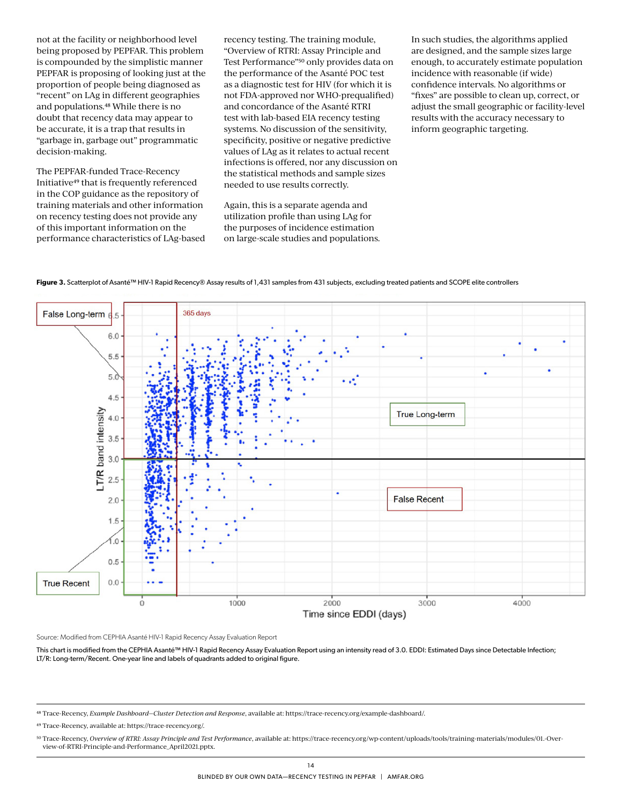not at the facility or neighborhood level being proposed by PEPFAR. This problem is compounded by the simplistic manner PEPFAR is proposing of looking just at the proportion of people being diagnosed as "recent" on LAg in different geographies and populations.48 While there is no doubt that recency data may appear to be accurate, it is a trap that results in "garbage in, garbage out" programmatic decision-making.

The PEPFAR-funded Trace-Recency Initiative49 that is frequently referenced in the COP guidance as the repository of training materials and other information on recency testing does not provide any of this important information on the performance characteristics of LAg-based recency testing. The training module, "Overview of RTRI: Assay Principle and Test Performance"<sup>50</sup> only provides data on the performance of the Asanté POC test as a diagnostic test for HIV (for which it is not FDA-approved nor WHO-prequalified) and concordance of the Asanté RTRI test with lab-based EIA recency testing systems. No discussion of the sensitivity, specificity, positive or negative predictive values of LAg as it relates to actual recent infections is offered, nor any discussion on the statistical methods and sample sizes needed to use results correctly.

Again, this is a separate agenda and utilization profile than using LAg for the purposes of incidence estimation on large-scale studies and populations.

In such studies, the algorithms applied are designed, and the sample sizes large enough, to accurately estimate population incidence with reasonable (if wide) confidence intervals. No algorithms or "fixes" are possible to clean up, correct, or adjust the small geographic or facility-level results with the accuracy necessary to inform geographic targeting.





Source: Modified from CEPHIA Asanté HIV-1 Rapid Recency Assay Evaluation Report

This chart is modified from the CEPHIA Asanté™ HIV-1 Rapid Recency Assay Evaluation Report using an intensity read of 3.0. EDDI: Estimated Days since Detectable Infection; LT/R: Long-term/Recent. One-year line and labels of quadrants added to original figure.

<sup>48</sup> Trace-Recency, *Example Dashboard—Cluster Detection and Response*, available at: https://trace-recency.org/example-dashboard/.

<sup>49</sup> Trace-Recency, available at: https://trace-recency.org/.

<sup>50</sup> Trace-Recency, *Overview of RTRI: Assay Principle and Test Performance*, available at: [https://trace-recency.org/wp-content/uploads/tools/training-materials/modules/01.-Over](https://trace-recency.org/wp-content/uploads/tools/training-materials/modules/01.-Overview-of-RTRI-Principle-and-Performance_April2021.pptx)[view-of-RTRI-Principle-and-Performance\\_April2021.pptx](https://trace-recency.org/wp-content/uploads/tools/training-materials/modules/01.-Overview-of-RTRI-Principle-and-Performance_April2021.pptx).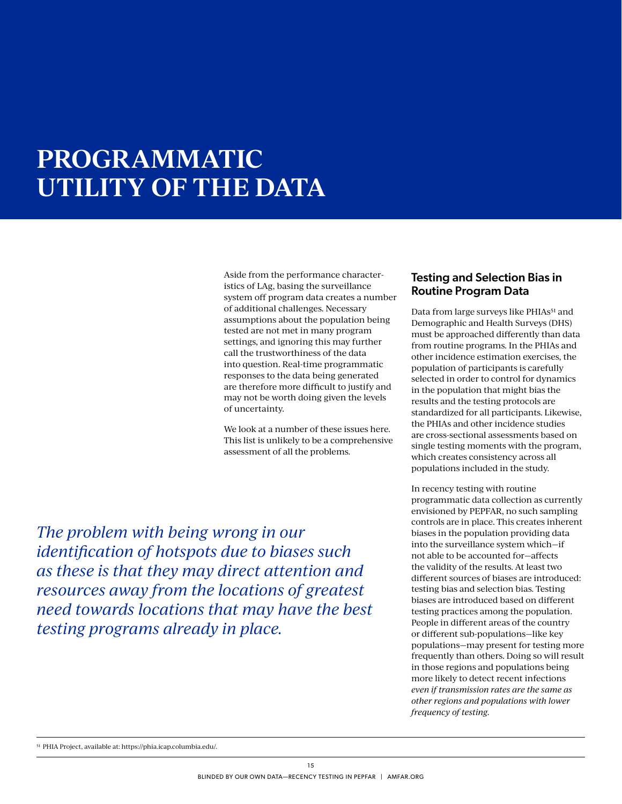# **PROGRAMMATIC UTILITY OF THE DATA**

Aside from the performance characteristics of LAg, basing the surveillance system off program data creates a number of additional challenges. Necessary assumptions about the population being tested are not met in many program settings, and ignoring this may further call the trustworthiness of the data into question. Real-time programmatic responses to the data being generated are therefore more difficult to justify and may not be worth doing given the levels of uncertainty.

We look at a number of these issues here. This list is unlikely to be a comprehensive assessment of all the problems.

#### Testing and Selection Bias in Routine Program Data

Data from large surveys like PHIAs<sup>51</sup> and Demographic and Health Surveys (DHS) must be approached differently than data from routine programs. In the PHIAs and other incidence estimation exercises, the population of participants is carefully selected in order to control for dynamics in the population that might bias the results and the testing protocols are standardized for all participants. Likewise, the PHIAs and other incidence studies are cross-sectional assessments based on single testing moments with the program, which creates consistency across all populations included in the study.

In recency testing with routine programmatic data collection as currently envisioned by PEPFAR, no such sampling controls are in place. This creates inherent biases in the population providing data into the surveillance system which—if not able to be accounted for—affects the validity of the results. At least two different sources of biases are introduced: testing bias and selection bias. Testing biases are introduced based on different testing practices among the population. People in different areas of the country or different sub-populations—like key populations—may present for testing more frequently than others. Doing so will result in those regions and populations being more likely to detect recent infections *even if transmission rates are the same as other regions and populations with lower frequency of testing.*

*The problem with being wrong in our identification of hotspots due to biases such as these is that they may direct attention and resources away from the locations of greatest need towards locations that may have the best testing programs already in place.*

<sup>51</sup> PHIA Project, available at: https://phia.icap.columbia.edu/.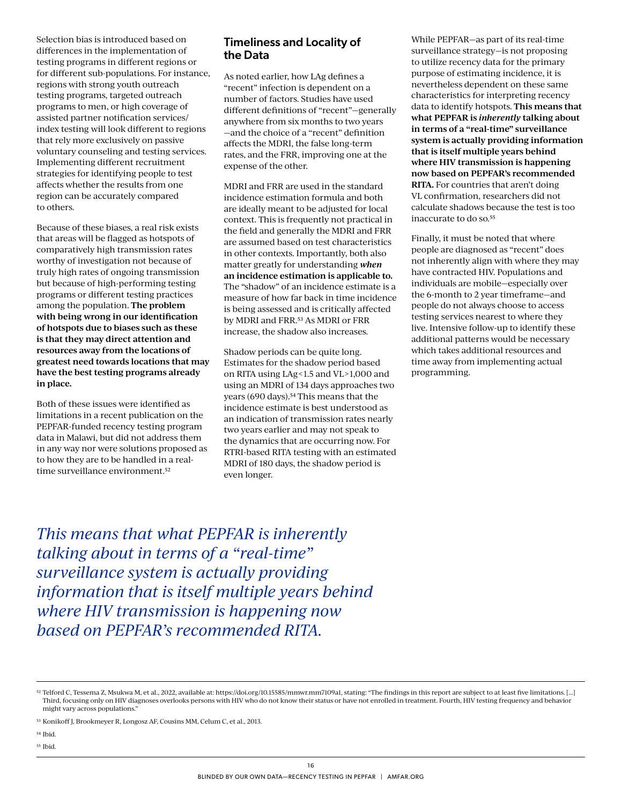Selection bias is introduced based on differences in the implementation of testing programs in different regions or for different sub-populations. For instance, regions with strong youth outreach testing programs, targeted outreach programs to men, or high coverage of assisted partner notification services/ index testing will look different to regions that rely more exclusively on passive voluntary counseling and testing services. Implementing different recruitment strategies for identifying people to test affects whether the results from one region can be accurately compared to others.

Because of these biases, a real risk exists that areas will be flagged as hotspots of comparatively high transmission rates worthy of investigation not because of truly high rates of ongoing transmission but because of high-performing testing programs or different testing practices among the population. **The problem with being wrong in our identification of hotspots due to biases such as these is that they may direct attention and resources away from the locations of greatest need towards locations that may have the best testing programs already in place.**

Both of these issues were identified as limitations in a recent publication on the PEPFAR-funded recency testing program data in Malawi, but did not address them in any way nor were solutions proposed as to how they are to be handled in a realtime surveillance environment.<sup>52</sup>

### Timeliness and Locality of the Data

As noted earlier, how LAg defines a "recent" infection is dependent on a number of factors. Studies have used different definitions of "recent"—generally anywhere from six months to two years —and the choice of a "recent" definition affects the MDRI, the false long-term rates, and the FRR, improving one at the expense of the other.

MDRI and FRR are used in the standard incidence estimation formula and both are ideally meant to be adjusted for local context. This is frequently not practical in the field and generally the MDRI and FRR are assumed based on test characteristics in other contexts. Importantly, both also matter greatly for understanding *when* **an incidence estimation is applicable to.** The "shadow" of an incidence estimate is a measure of how far back in time incidence is being assessed and is critically affected by MDRI and FRR.53 As MDRI or FRR increase, the shadow also increases.

Shadow periods can be quite long. Estimates for the shadow period based on RITA using LAg<1.5 and VL>1,000 and using an MDRI of 134 days approaches two years (690 days).<sup>54</sup> This means that the incidence estimate is best understood as an indication of transmission rates nearly two years earlier and may not speak to the dynamics that are occurring now. For RTRI-based RITA testing with an estimated MDRI of 180 days, the shadow period is even longer.

While PEPFAR—as part of its real-time surveillance strategy—is not proposing to utilize recency data for the primary purpose of estimating incidence, it is nevertheless dependent on these same characteristics for interpreting recency data to identify hotspots. **This means that what PEPFAR is** *inherently* **talking about in terms of a "real-time" surveillance system is actually providing information that is itself multiple years behind where HIV transmission is happening now based on PEPFAR's recommended RITA.** For countries that aren't doing VL confirmation, researchers did not calculate shadows because the test is too inaccurate to do so.55

Finally, it must be noted that where people are diagnosed as "recent" does not inherently align with where they may have contracted HIV. Populations and individuals are mobile—especially over the 6-month to 2 year timeframe—and people do not always choose to access testing services nearest to where they live. Intensive follow-up to identify these additional patterns would be necessary which takes additional resources and time away from implementing actual programming.

*This means that what PEPFAR is inherently talking about in terms of a "real-time" surveillance system is actually providing information that is itself multiple years behind where HIV transmission is happening now based on PEPFAR's recommended RITA.*

- 54 Ibid.
- 55 Ibid.

<sup>52</sup> Telford C, Tessema Z, Msukwa M, et al., 2022, available at: https://doi.org/10.15585/mmwr.mm7109a1, stating: "The findings in this report are subject to at least five limitations. [...] Third, focusing only on HIV diagnoses overlooks persons with HIV who do not know their status or have not enrolled in treatment. Fourth, HIV testing frequency and behavior might vary across populations."

<sup>53</sup> Konikoff J, Brookmeyer R, Longosz AF, Cousins MM, Celum C, et al., 2013.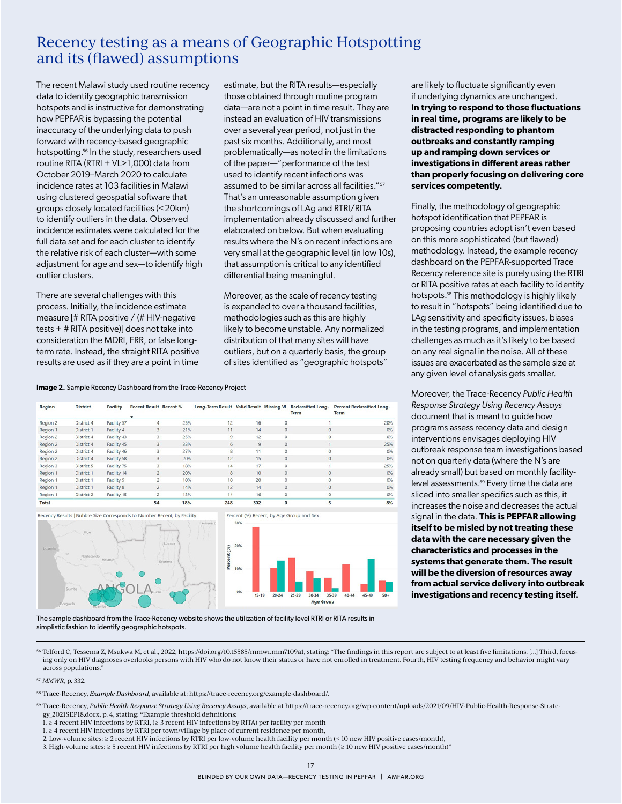## Recency testing as a means of Geographic Hotspotting and its (flawed) assumptions

The recent Malawi study used routine recency data to identify geographic transmission hotspots and is instructive for demonstrating how PEPFAR is bypassing the potential inaccuracy of the underlying data to push forward with recency-based geographic hotspotting.<sup>56</sup> In the study, researchers used routine RITA (RTRI + VL>1,000) data from October 2019–March 2020 to calculate incidence rates at 103 facilities in Malawi using clustered geospatial software that groups closely located facilities (<20km) to identify outliers in the data. Observed incidence estimates were calculated for the full data set and for each cluster to identify the relative risk of each cluster—with some adjustment for age and sex—to identify high outlier clusters.

There are several challenges with this process. Initially, the incidence estimate measure [# RITA positive / (# HIV-negative tests + # RITA positive)] does not take into consideration the MDRI, FRR, or false longterm rate. Instead, the straight RITA positive results are used as if they are a point in time

estimate, but the RITA results—especially those obtained through routine program data—are not a point in time result. They are instead an evaluation of HIV transmissions over a several year period, not just in the past six months. Additionally, and most problematically—as noted in the limitations of the paper—"performance of the test used to identify recent infections was assumed to be similar across all facilities."57 That's an unreasonable assumption given the shortcomings of LAg and RTRI/RITA implementation already discussed and further elaborated on below. But when evaluating results where the N's on recent infections are very small at the geographic level (in low 10s), that assumption is critical to any identified differential being meaningful.

Moreover, as the scale of recency testing is expanded to over a thousand facilities, methodologies such as this are highly likely to become unstable. Any normalized distribution of that many sites will have outliers, but on a quarterly basis, the group of sites identified as "geographic hotspots"

are likely to fluctuate significantly even if underlying dynamics are unchanged. **In trying to respond to those fluctuations in real time, programs are likely to be distracted responding to phantom outbreaks and constantly ramping up and ramping down services or investigations in different areas rather than properly focusing on delivering core services competently.**

Finally, the methodology of geographic hotspot identification that PEPFAR is proposing countries adopt isn't even based on this more sophisticated (but flawed) methodology. Instead, the example recency dashboard on the PEPFAR-supported Trace Recency reference site is purely using the RTRI or RITA positive rates at each facility to identify hotspots.58 This methodology is highly likely to result in "hotspots" being identified due to LAg sensitivity and specificity issues, biases in the testing programs, and implementation challenges as much as it's likely to be based on any real signal in the noise. All of these issues are exacerbated as the sample size at any given level of analysis gets smaller.

Moreover, the Trace-Recency *Public Health Response Strategy Using Recency Assays* document that is meant to guide how programs assess recency data and design interventions envisages deploying HIV outbreak response team investigations based not on quarterly data (where the N's are already small) but based on monthly facilitylevel assessments.59 Every time the data are sliced into smaller specifics such as this, it increases the noise and decreases the actual signal in the data. **This is PEPFAR allowing itself to be misled by not treating these data with the care necessary given the characteristics and processes in the systems that generate them. The result will be the diversion of resources away from actual service delivery into outbreak investigations and recency testing itself.**

**Image 2.** Sample Recency Dashboard from the Trace-Recency Project

| <b>Percent Reclassified Long-</b> | <b>Term</b>                              | Term         |              |  |     | Long-Term Result Valid Result Missing VL Reclassified Long- |                                                                         | <b>Recent Result Recent %</b> | <b>Facility</b>    | <b>District</b>   | Region   |
|-----------------------------------|------------------------------------------|--------------|--------------|--|-----|-------------------------------------------------------------|-------------------------------------------------------------------------|-------------------------------|--------------------|-------------------|----------|
|                                   |                                          |              |              |  |     |                                                             |                                                                         |                               |                    |                   |          |
| 209                               |                                          |              |              |  | 16  | 12                                                          | 25%                                                                     |                               | Facility 57        | District 4        | Region 2 |
| O <sup>3</sup>                    |                                          | $\bf{0}$     | $\theta$     |  | 14  | 11                                                          | 21%                                                                     |                               | Facility 4         | District 1        | Region 1 |
| O.                                |                                          | 0            | $\Omega$     |  | 12  | 9                                                           | 25%                                                                     |                               | Facility 43        | <b>District 4</b> | Region 2 |
| 259                               |                                          |              | $\theta$     |  | 9   | 6                                                           | 33%                                                                     |                               | Facility 45        | District 4        | Region 2 |
| O3                                |                                          | Ō            |              |  | 11  |                                                             | 27%                                                                     |                               | Facility 46        | District 4        | Region 2 |
| 09                                |                                          | $\mathbf{0}$ | $\Omega$     |  | 15  | 12                                                          | 20%                                                                     | 3                             | <b>Facility 58</b> | District 4        | Region 2 |
| 259                               |                                          |              |              |  | 17  | 14                                                          | 18%                                                                     |                               | Facility 75        | <b>District 5</b> | Region 3 |
| O <sup>3</sup>                    |                                          | $\mathbf{0}$ | $\mathbf{0}$ |  | 10  | 8                                                           | 20%                                                                     | 2                             | Facility 14        | District 1        | Region 1 |
| O.                                |                                          | 0            |              |  | 20  | 18                                                          | 10%                                                                     |                               | Facility 5         | District 1        | Region 1 |
| O <sup>3</sup>                    |                                          | 0            | $\circ$      |  | 14  | 12                                                          | 14%                                                                     |                               | <b>Facility 8</b>  | District 1        | Region 1 |
| O,                                |                                          | 0            | $\circ$      |  | 16  | 14                                                          | 13%                                                                     | 2                             | Facility 15        | District 2        | Region 1 |
| 89                                |                                          |              | $\circ$      |  | 302 | 248                                                         | 18%                                                                     | 54                            |                    |                   | Total    |
|                                   | Percent (%) Recent, by Age Group and Sex |              |              |  |     |                                                             | Recency Results   Bubble Size Corresponds to Number Recent, by Facility |                               |                    |                   |          |



The sample dashboard from the Trace-Recency website shows the utilization of facility level RTRI or RITA results in simplistic fashion to identify geographic hotspots.

56 Telford C, Tessema Z, Msukwa M, et al., 2022, https://doi.org/10.15585/mmwr.mm7109a1, stating: "The findings in this report are subject to at least five limitations. [...] Third, focusing only on HIV diagnoses overlooks persons with HIV who do not know their status or have not enrolled in treatment. Fourth, HIV testing frequency and behavior might vary across populations."

57 *MMWR*, p. 332.

58 Trace-Recency, *Example Dashboard*, available at: https://trace-recency.org/example-dashboard/.

59 Trace-Recency, *Public Health Response Strategy Using Recency Assays*, available at [https://trace-recency.org/wp-content/uploads/2021/09/HIV-Public-Health-Response-Strate](https://trace-recency.org/wp-content/uploads/2021/09/HIV-Public-Health-Response-Strategy_2021SEP18.docx)[gy\\_2021SEP18.docx,](https://trace-recency.org/wp-content/uploads/2021/09/HIV-Public-Health-Response-Strategy_2021SEP18.docx) p. 4, stating: "Example threshold definitions:

1. ≥ 4 recent HIV infections by RTRI, (≥ 3 recent HIV infections by RITA) per facility per month

1. ≥ 4 recent HIV infections by RTRI per town/village by place of current residence per month,

2. Low-volume sites: ≥ 2 recent HIV infections by RTRI per low-volume health facility per month (< 10 new HIV positive cases/month),

3. High-volume sites: ≥ 5 recent HIV infections by RTRI per high volume health facility per month (≥ 10 new HIV positive cases/month)"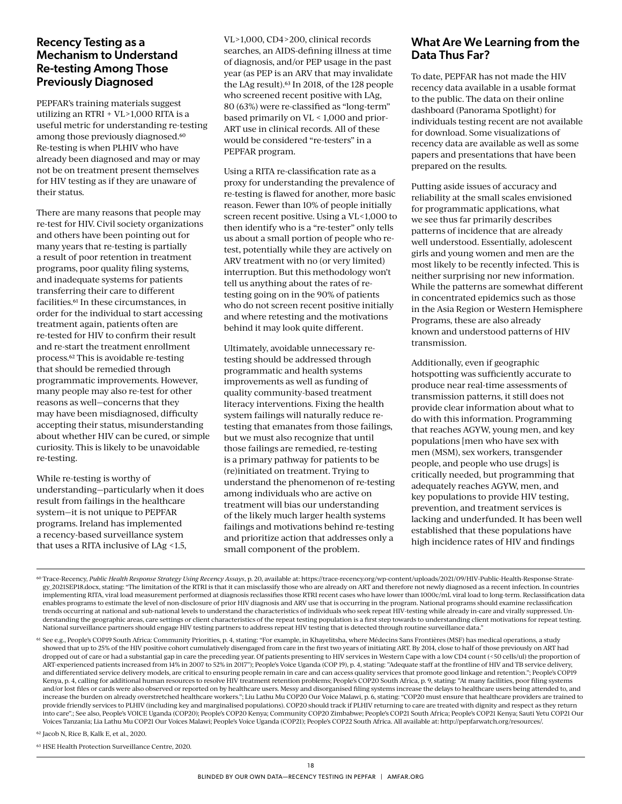#### Recency Testing as a Mechanism to Understand Re-testing Among Those Previously Diagnosed

PEPFAR's training materials suggest utilizing an RTRI + VL>1,000 RITA is a useful metric for understanding re-testing among those previously diagnosed.<sup>60</sup> Re-testing is when PLHIV who have already been diagnosed and may or may not be on treatment present themselves for HIV testing as if they are unaware of their status.

There are many reasons that people may re-test for HIV. Civil society organizations and others have been pointing out for many years that re-testing is partially a result of poor retention in treatment programs, poor quality filing systems, and inadequate systems for patients transferring their care to different facilities.61 In these circumstances, in order for the individual to start accessing treatment again, patients often are re-tested for HIV to confirm their result and re-start the treatment enrollment process.62 This is avoidable re-testing that should be remedied through programmatic improvements. However, many people may also re-test for other reasons as well—concerns that they may have been misdiagnosed, difficulty accepting their status, misunderstanding about whether HIV can be cured, or simple curiosity. This is likely to be unavoidable re-testing.

While re-testing is worthy of understanding—particularly when it does result from failings in the healthcare system—it is not unique to PEPFAR programs. Ireland has implemented a recency-based surveillance system that uses a RITA inclusive of LAg <1.5,

VL>1,000, CD4>200, clinical records searches, an AIDS-defining illness at time of diagnosis, and/or PEP usage in the past year (as PEP is an ARV that may invalidate the LAg result).63 In 2018, of the 128 people who screened recent positive with LAg, 80 (63%) were re-classified as "long-term" based primarily on VL < 1,000 and prior-ART use in clinical records. All of these would be considered "re-testers" in a PEPFAR program.

Using a RITA re-classification rate as a proxy for understanding the prevalence of re-testing is flawed for another, more basic reason. Fewer than 10% of people initially screen recent positive. Using a VL<1,000 to then identify who is a "re-tester" only tells us about a small portion of people who retest, potentially while they are actively on ARV treatment with no (or very limited) interruption. But this methodology won't tell us anything about the rates of retesting going on in the 90% of patients who do not screen recent positive initially and where retesting and the motivations behind it may look quite different.

Ultimately, avoidable unnecessary retesting should be addressed through programmatic and health systems improvements as well as funding of quality community-based treatment literacy interventions. Fixing the health system failings will naturally reduce retesting that emanates from those failings, but we must also recognize that until those failings are remedied, re-testing is a primary pathway for patients to be (re)initiated on treatment. Trying to understand the phenomenon of re-testing among individuals who are active on treatment will bias our understanding of the likely much larger health systems failings and motivations behind re-testing and prioritize action that addresses only a small component of the problem.

### What Are We Learning from the Data Thus Far?

To date, PEPFAR has not made the HIV recency data available in a usable format to the public. The data on their online dashboard (Panorama Spotlight) for individuals testing recent are not available for download. Some visualizations of recency data are available as well as some papers and presentations that have been prepared on the results.

Putting aside issues of accuracy and reliability at the small scales envisioned for programmatic applications, what we see thus far primarily describes patterns of incidence that are already well understood. Essentially, adolescent girls and young women and men are the most likely to be recently infected. This is neither surprising nor new information. While the patterns are somewhat different in concentrated epidemics such as those in the Asia Region or Western Hemisphere Programs, these are also already known and understood patterns of HIV transmission.

Additionally, even if geographic hotspotting was sufficiently accurate to produce near real-time assessments of transmission patterns, it still does not provide clear information about what to do with this information. Programming that reaches AGYW, young men, and key populations [men who have sex with men (MSM), sex workers, transgender people, and people who use drugs] is critically needed, but programming that adequately reaches AGYW, men, and key populations to provide HIV testing, prevention, and treatment services is lacking and underfunded. It has been well established that these populations have high incidence rates of HIV and findings

62 Jacob N, Rice B, Kalk E, et al., 2020.

63 HSE Health Protection Surveillance Centre, 2020.

<sup>60</sup> Trace-Recency, *Public Health Response Strategy Using Recency Assays*, p. 20, available at: [https://trace-recency.org/wp-content/uploads/2021/09/HIV-Public-Health-Response-Strate](https://trace-recency.org/wp-content/uploads/2021/09/HIV-Public-Health-Response-Strategy_2021SEP18.docx)[gy\\_2021SEP18.docx](https://trace-recency.org/wp-content/uploads/2021/09/HIV-Public-Health-Response-Strategy_2021SEP18.docx), stating: "The limitation of the RTRI is that it can misclassify those who are already on ART and therefore not newly diagnosed as a recent infection. In countries implementing RITA, viral load measurement performed at diagnosis reclassifies those RTRI recent cases who have lower than 1000c/mL viral load to long-term. Reclassification data enables programs to estimate the level of non-disclosure of prior HIV diagnosis and ARV use that is occurring in the program. National programs should examine reclassification trends occurring at national and sub-national levels to understand the characteristics of individuals who seek repeat HIV-testing while already in-care and virally suppressed. Understanding the geographic areas, care settings or client characteristics of the repeat testing population is a first step towards to understanding client motivations for repeat testing. National surveillance partners should engage HIV testing partners to address repeat HIV testing that is detected through routine surveillance data."

<sup>61</sup> See e.g., People's COP19 South Africa: Community Priorities, p. 4, stating: "For example, in Khayelitsha, where Médecins Sans Frontières (MSF) has medical operations, a study showed that up to 25% of the HIV positive cohort cumulatively disengaged from care in the first two years of initiating ART. By 2014, close to half of those previously on ART had dropped out of care or had a substantial gap in care the preceding year. Of patients presenting to HIV services in Western Cape with a low CD4 count (<50 cells/ul) the proportion of ART-experienced patients increased from 14% in 2007 to 52% in 2017"); People's Voice Uganda (COP 19), p. 4, stating: "Adequate staff at the frontline of HIV and TB service delivery, and differentiated service delivery models, are critical to ensuring people remain in care and can access quality services that promote good linkage and retention."; People's COP19 Kenya, p. 4, calling for additional human resources to resolve HIV treatment retention problems; People's COP20 South Africa, p. 9, stating: "At many facilities, poor filing systems and/or lost files or cards were also observed or reported on by healthcare users. Messy and disorganised filing systems increase the delays to healthcare users being attended to, and increase the burden on already overstretched healthcare workers."; Liu Lathu Mu COP20 Our Voice Malawi, p. 6, stating: "COP20 must ensure that healthcare providers are trained to provide friendly services to PLHIV (including key and marginalised populations). COP20 should track if PLHIV returning to care are treated with dignity and respect as they return into care".; See also, People's VOICE Uganda (COP20); People's COP20 Kenya; Community COP20 Zimbabwe; People's COP21 South Africa; People's COP21 Kenya; Sauti Yetu COP21 Our Voices Tanzania; Lia Lathu Mu COP21 Our Voices Malawi; People's Voice Uganda (COP21); People's COP22 South Africa. All available at: http://pepfarwatch.org/resources/.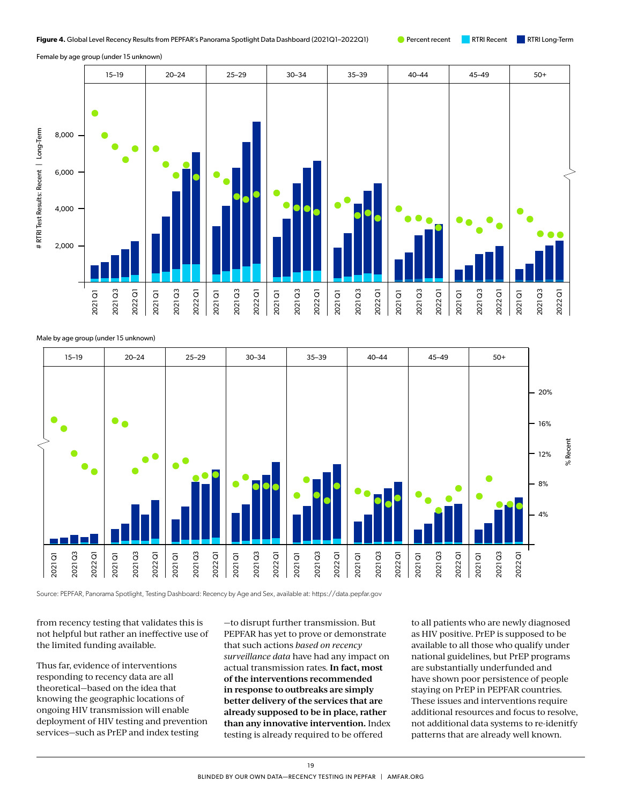Female by age group (under 15 unknown)



Male by age group (under 15 unknown)



from recency testing that validates this is not helpful but rather an ineffective use of the limited funding available.

Thus far, evidence of interventions responding to recency data are all theoretical—based on the idea that knowing the geographic locations of ongoing HIV transmission will enable deployment of HIV testing and prevention services—such as PrEP and index testing

—to disrupt further transmission. But PEPFAR has yet to prove or demonstrate that such actions *based on recency surveillance data* have had any impact on actual transmission rates. **In fact, most of the interventions recommended in response to outbreaks are simply better delivery of the services that are already supposed to be in place, rather than any innovative intervention.** Index testing is already required to be offered

to all patients who are newly diagnosed as HIV positive. PrEP is supposed to be available to all those who qualify under national guidelines, but PrEP programs are substantially underfunded and have shown poor persistence of people staying on PrEP in PEPFAR countries. These issues and interventions require additional resources and focus to resolve, not additional data systems to re-idenitfy patterns that are already well known.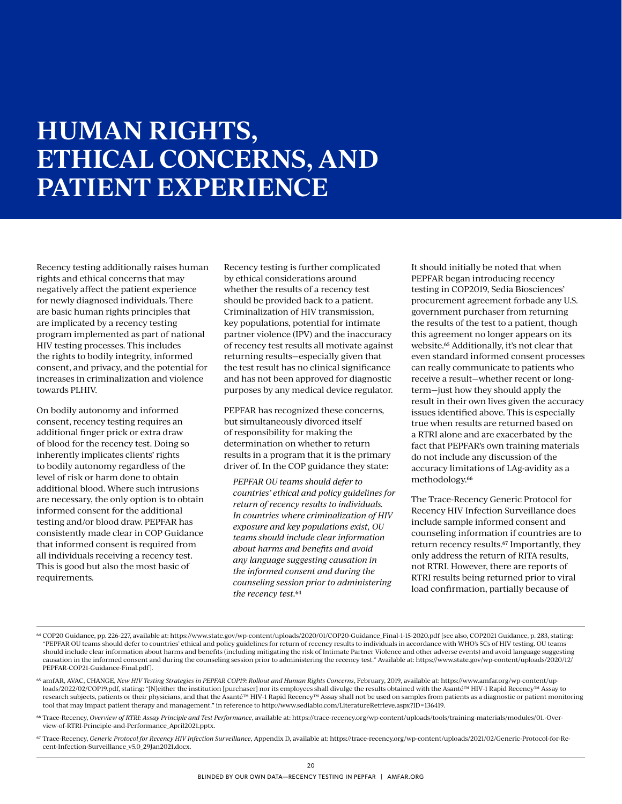# **HUMAN RIGHTS, ETHICAL CONCERNS, AND PATIENT EXPERIENCE**

Recency testing additionally raises human rights and ethical concerns that may negatively affect the patient experience for newly diagnosed individuals. There are basic human rights principles that are implicated by a recency testing program implemented as part of national HIV testing processes. This includes the rights to bodily integrity, informed consent, and privacy, and the potential for increases in criminalization and violence towards PLHIV.

On bodily autonomy and informed consent, recency testing requires an additional finger prick or extra draw of blood for the recency test. Doing so inherently implicates clients' rights to bodily autonomy regardless of the level of risk or harm done to obtain additional blood. Where such intrusions are necessary, the only option is to obtain informed consent for the additional testing and/or blood draw. PEPFAR has consistently made clear in COP Guidance that informed consent is required from all individuals receiving a recency test. This is good but also the most basic of requirements.

Recency testing is further complicated by ethical considerations around whether the results of a recency test should be provided back to a patient. Criminalization of HIV transmission, key populations, potential for intimate partner violence (IPV) and the inaccuracy of recency test results all motivate against returning results—especially given that the test result has no clinical significance and has not been approved for diagnostic purposes by any medical device regulator.

PEPFAR has recognized these concerns, but simultaneously divorced itself of responsibility for making the determination on whether to return results in a program that it is the primary driver of. In the COP guidance they state:

*PEPFAR OU teams should defer to countries' ethical and policy guidelines for return of recency results to individuals. In countries where criminalization of HIV exposure and key populations exist, OU teams should include clear information about harms and benefits and avoid any language suggesting causation in the informed consent and during the counseling session prior to administering the recency test.*64

It should initially be noted that when PEPFAR began introducing recency testing in COP2019, Sedia Biosciences' procurement agreement forbade any U.S. government purchaser from returning the results of the test to a patient, though this agreement no longer appears on its website.65 Additionally, it's not clear that even standard informed consent processes can really communicate to patients who receive a result—whether recent or longterm—just how they should apply the result in their own lives given the accuracy issues identified above. This is especially true when results are returned based on a RTRI alone and are exacerbated by the fact that PEPFAR's own training materials do not include any discussion of the accuracy limitations of LAg-avidity as a methodology.66

The Trace-Recency Generic Protocol for Recency HIV Infection Surveillance does include sample informed consent and counseling information if countries are to return recency results.67 Importantly, they only address the return of RITA results, not RTRI. However, there are reports of RTRI results being returned prior to viral load confirmation, partially because of

- 64 COP20 Guidance, pp. 226-227, available at: https://www.state.gov/wp-content/uploads/2020/01/COP20-Guidance\_Final-1-15-2020.pdf [see also, COP2021 Guidance, p. 283, stating: "PEPFAR OU teams should defer to countries' ethical and policy guidelines for return of recency results to individuals in accordance with WHO's 5Cs of HIV testing. OU teams should include clear information about harms and benefits (including mitigating the risk of Intimate Partner Violence and other adverse events) and avoid language suggesting causation in the informed consent and during the counseling session prior to administering the recency test." Available at: [https://www.state.gov/wp-content/uploads/2020/12/](https://www.state.gov/wp-content/uploads/2020/12/PEPFAR-COP21-Guidance-Final.pdf) [PEPFAR-COP21-Guidance-Final.pdf](https://www.state.gov/wp-content/uploads/2020/12/PEPFAR-COP21-Guidance-Final.pdf)].
- 65 amfAR, AVAC, CHANGE, New HIV Testing Strategies in PEPFAR COP19: Rollout and Human Rights Concerns, February, 2019, available at: [https://www.amfar.org/wp-content/up](https://www.amfar.org/wp-content/uploads/2022/02/COP19.pdf)[loads/2022/02/COP19.pdf,](https://www.amfar.org/wp-content/uploads/2022/02/COP19.pdf) stating: "[N]either the institution [purchaser] nor its employees shall divulge the results obtained with the Asanté™ HIV-1 Rapid Recency™ Assay to research subjects, patients or their physicians, and that the Asanté™ HIV-1 Rapid Recency™ Assay shall not be used on samples from patients as a diagnostic or patient monitoring tool that may impact patient therapy and management." in reference to [http://www.sediabio.com/LiteratureRetrieve.aspx?ID=136419.](http://www.sediabio.com/LiteratureRetrieve.aspx?ID=136419)
- 66 Trace-Recency, *Overview of RTRI: Assay Principle and Test Performance*, available at: [https://trace-recency.org/wp-content/uploads/tools/training-materials/modules/01.-Over](https://trace-recency.org/wp-content/uploads/tools/training-materials/modules/01.-Overview-of-RTRI-Principle-and-Performance_April2021.pptx)[view-of-RTRI-Principle-and-Performance\\_April2021.pptx](https://trace-recency.org/wp-content/uploads/tools/training-materials/modules/01.-Overview-of-RTRI-Principle-and-Performance_April2021.pptx).
- 67 Trace-Recency, *Generic Protocol for Recency HIV Infection Surveillance*, Appendix D, available at: [https://trace-recency.org/wp-content/uploads/2021/02/Generic-Protocol-for-Re](https://trace-recency.org/wp-content/uploads/2021/02/Generic-Protocol-for-Recent-Infection-Surveillance_v5.0_29Jan2021.docx)[cent-Infection-Surveillance\\_v5.0\\_29Jan2021.docx.](https://trace-recency.org/wp-content/uploads/2021/02/Generic-Protocol-for-Recent-Infection-Surveillance_v5.0_29Jan2021.docx)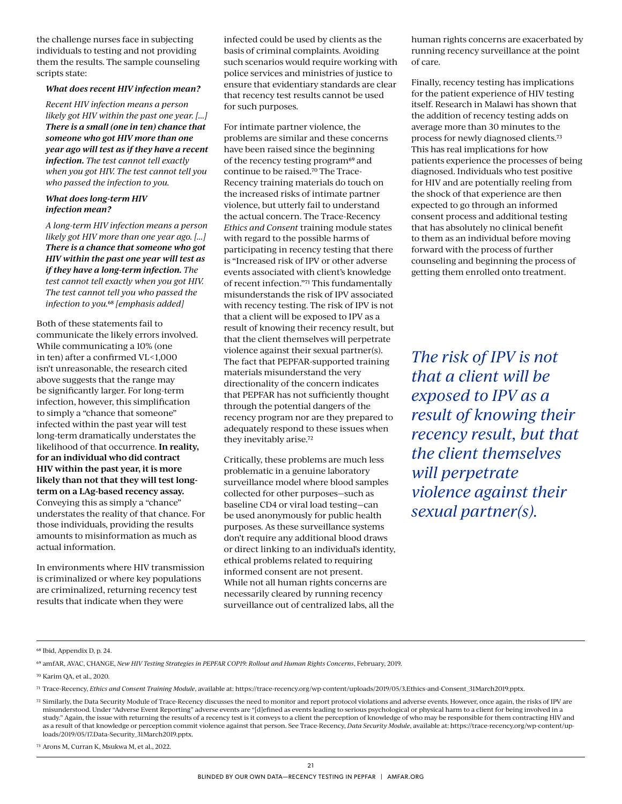the challenge nurses face in subjecting individuals to testing and not providing them the results. The sample counseling scripts state:

#### *What does recent HIV infection mean?*

*Recent HIV infection means a person likely got HIV within the past one year. [...] There is a small (one in ten) chance that someone who got HIV more than one year ago will test as if they have a recent infection. The test cannot tell exactly when you got HIV. The test cannot tell you who passed the infection to you.*

#### *What does long-term HIV infection mean?*

*A long-term HIV infection means a person likely got HIV more than one year ago. [...] There is a chance that someone who got HIV within the past one year will test as if they have a long-term infection. The test cannot tell exactly when you got HIV. The test cannot tell you who passed the infection to you.*68 *[emphasis added]*

Both of these statements fail to communicate the likely errors involved. While communicating a 10% (one in ten) after a confirmed VL<1,000 isn't unreasonable, the research cited above suggests that the range may be significantly larger. For long-term infection, however, this simplification to simply a "chance that someone" infected within the past year will test long-term dramatically understates the likelihood of that occurrence. **In reality, for an individual who did contract HIV within the past year, it is more likely than not that they will test longterm on a LAg-based recency assay.**  Conveying this as simply a "chance" understates the reality of that chance. For those individuals, providing the results amounts to misinformation as much as actual information.

In environments where HIV transmission is criminalized or where key populations are criminalized, returning recency test results that indicate when they were

infected could be used by clients as the basis of criminal complaints. Avoiding such scenarios would require working with police services and ministries of justice to ensure that evidentiary standards are clear that recency test results cannot be used for such purposes.

For intimate partner violence, the problems are similar and these concerns have been raised since the beginning of the recency testing program<sup>69</sup> and continue to be raised.70 The Trace-Recency training materials do touch on the increased risks of intimate partner violence, but utterly fail to understand the actual concern. The Trace-Recency *Ethics and Consent* training module states with regard to the possible harms of participating in recency testing that there is "Increased risk of IPV or other adverse events associated with client's knowledge of recent infection."71 This fundamentally misunderstands the risk of IPV associated with recency testing. The risk of IPV is not that a client will be exposed to IPV as a result of knowing their recency result, but that the client themselves will perpetrate violence against their sexual partner(s). The fact that PEPFAR-supported training materials misunderstand the very directionality of the concern indicates that PEPFAR has not sufficiently thought through the potential dangers of the recency program nor are they prepared to adequately respond to these issues when they inevitably arise.72

Critically, these problems are much less problematic in a genuine laboratory surveillance model where blood samples collected for other purposes—such as baseline CD4 or viral load testing—can be used anonymously for public health purposes. As these surveillance systems don't require any additional blood draws or direct linking to an individual's identity, ethical problems related to requiring informed consent are not present. While not all human rights concerns are necessarily cleared by running recency surveillance out of centralized labs, all the

human rights concerns are exacerbated by running recency surveillance at the point of care.

Finally, recency testing has implications for the patient experience of HIV testing itself. Research in Malawi has shown that the addition of recency testing adds on average more than 30 minutes to the process for newly diagnosed clients.73 This has real implications for how patients experience the processes of being diagnosed. Individuals who test positive for HIV and are potentially reeling from the shock of that experience are then expected to go through an informed consent process and additional testing that has absolutely no clinical benefit to them as an individual before moving forward with the process of further counseling and beginning the process of getting them enrolled onto treatment.

*The risk of IPV is not that a client will be exposed to IPV as a result of knowing their recency result, but that the client themselves will perpetrate violence against their sexual partner(s).*

70 Karim QA, et al., 2020.

73 Arons M, Curran K, Msukwa M, et al., 2022.

<sup>68</sup> Ibid, Appendix D, p. 24.

<sup>69</sup> amfAR, AVAC, CHANGE, *New HIV Testing Strategies in PEPFAR COP19: Rollout and Human Rights Concerns*, February, 2019.

<sup>71</sup> Trace-Recency, *Ethics and Consent Training Module*, available at: [https://trace-recency.org/wp-content/uploads/2019/05/3.Ethics-and-Consent\\_31March2019.pptx.](https://trace-recency.org/wp-content/uploads/2019/05/3.Ethics-and-Consent_31March2019.pptx)

<sup>72</sup> Similarly, the Data Security Module of Trace-Recency discusses the need to monitor and report protocol violations and adverse events. However, once again, the risks of IPV are misunderstood. Under "Adverse Event Reporting" adverse events are "[d]efined as events leading to serious psychological or physical harm to a client for being involved in a study." Again, the issue with returning the results of a recency test is it conveys to a client the perception of knowledge of who may be responsible for them contracting HIV and as a result of that knowledge or perception commit violence against that person. See Trace-Recency, *Data Security Module*, available at: [https://trace-recency.org/wp-content/up](https://trace-recency.org/wp-content/uploads/2019/05/17.Data-Security_31March2019.pptx)[loads/2019/05/17.Data-Security\\_31March2019.pptx.](https://trace-recency.org/wp-content/uploads/2019/05/17.Data-Security_31March2019.pptx)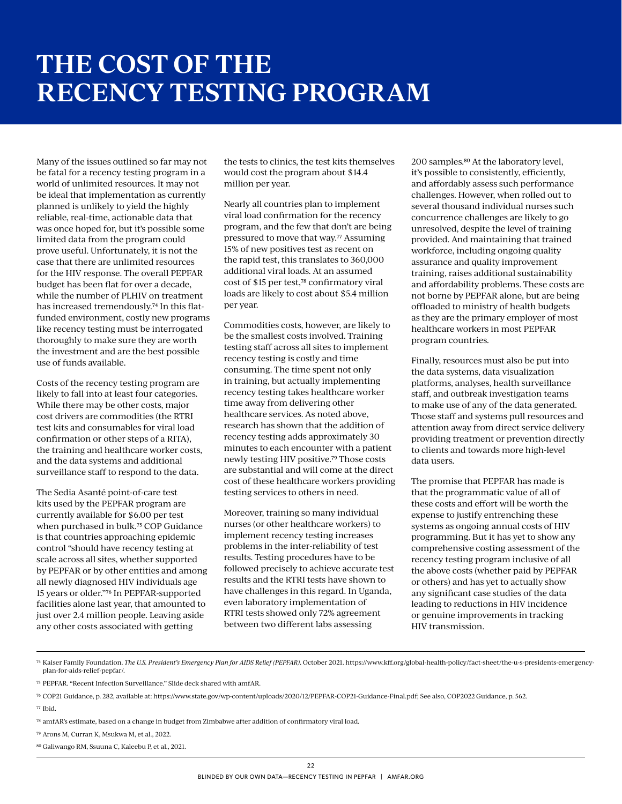Many of the issues outlined so far may not be fatal for a recency testing program in a world of unlimited resources. It may not be ideal that implementation as currently planned is unlikely to yield the highly reliable, real-time, actionable data that was once hoped for, but it's possible some limited data from the program could prove useful. Unfortunately, it is not the case that there are unlimited resources for the HIV response. The overall PEPFAR budget has been flat for over a decade, while the number of PLHIV on treatment has increased tremendously.74 In this flatfunded environment, costly new programs like recency testing must be interrogated thoroughly to make sure they are worth the investment and are the best possible use of funds available.

Costs of the recency testing program are likely to fall into at least four categories. While there may be other costs, major cost drivers are commodities (the RTRI test kits and consumables for viral load confirmation or other steps of a RITA), the training and healthcare worker costs, and the data systems and additional surveillance staff to respond to the data.

The Sedia Asanté point-of-care test kits used by the PEPFAR program are currently available for \$6.00 per test when purchased in bulk.75 COP Guidance is that countries approaching epidemic control "should have recency testing at scale across all sites, whether supported by PEPFAR or by other entities and among all newly diagnosed HIV individuals age 15 years or older."76 In PEPFAR-supported facilities alone last year, that amounted to just over 2.4 million people. Leaving aside any other costs associated with getting

the tests to clinics, the test kits themselves would cost the program about \$14.4 million per year.

Nearly all countries plan to implement viral load confirmation for the recency program, and the few that don't are being pressured to move that way.<sup>77</sup> Assuming 15% of new positives test as recent on the rapid test, this translates to 360,000 additional viral loads. At an assumed cost of \$15 per test,78 confirmatory viral loads are likely to cost about \$5.4 million per year.

Commodities costs, however, are likely to be the smallest costs involved. Training testing staff across all sites to implement recency testing is costly and time consuming. The time spent not only in training, but actually implementing recency testing takes healthcare worker time away from delivering other healthcare services. As noted above, research has shown that the addition of recency testing adds approximately 30 minutes to each encounter with a patient newly testing HIV positive.79 Those costs are substantial and will come at the direct cost of these healthcare workers providing testing services to others in need.

Moreover, training so many individual nurses (or other healthcare workers) to implement recency testing increases problems in the inter-reliability of test results. Testing procedures have to be followed precisely to achieve accurate test results and the RTRI tests have shown to have challenges in this regard. In Uganda, even laboratory implementation of RTRI tests showed only 72% agreement between two different labs assessing

200 samples.80 At the laboratory level, it's possible to consistently, efficiently, and affordably assess such performance challenges. However, when rolled out to several thousand individual nurses such concurrence challenges are likely to go unresolved, despite the level of training provided. And maintaining that trained workforce, including ongoing quality assurance and quality improvement training, raises additional sustainability and affordability problems. These costs are not borne by PEPFAR alone, but are being offloaded to ministry of health budgets as they are the primary employer of most healthcare workers in most PEPFAR program countries.

Finally, resources must also be put into the data systems, data visualization platforms, analyses, health surveillance staff, and outbreak investigation teams to make use of any of the data generated. Those staff and systems pull resources and attention away from direct service delivery providing treatment or prevention directly to clients and towards more high-level data users.

The promise that PEPFAR has made is that the programmatic value of all of these costs and effort will be worth the expense to justify entrenching these systems as ongoing annual costs of HIV programming. But it has yet to show any comprehensive costing assessment of the recency testing program inclusive of all the above costs (whether paid by PEPFAR or others) and has yet to actually show any significant case studies of the data leading to reductions in HIV incidence or genuine improvements in tracking HIV transmission.

77 Ibid.

<sup>74</sup> Kaiser Family Foundation. *The U.S. President's Emergency Plan for AIDS Relief (PEPFAR)*. October 2021. https://www.kff.org/global-health-policy/fact-sheet/the-u-s-presidents-emergencyplan-for-aids-relief-pepfar/.

<sup>75</sup> PEPFAR. "Recent Infection Surveillance." Slide deck shared with amfAR.

<sup>76</sup> COP21 Guidance, p. 282, available at: https://www.state.gov/wp-content/uploads/2020/12/PEPFAR-COP21-Guidance-Final.pdf; See also, COP2022 Guidance, p. 562.

<sup>78</sup> amfAR's estimate, based on a change in budget from Zimbabwe after addition of confirmatory viral load.

<sup>79</sup> Arons M, Curran K, Msukwa M, et al., 2022.

<sup>80</sup> Galiwango RM, Ssuuna C, Kaleebu P, et al., 2021.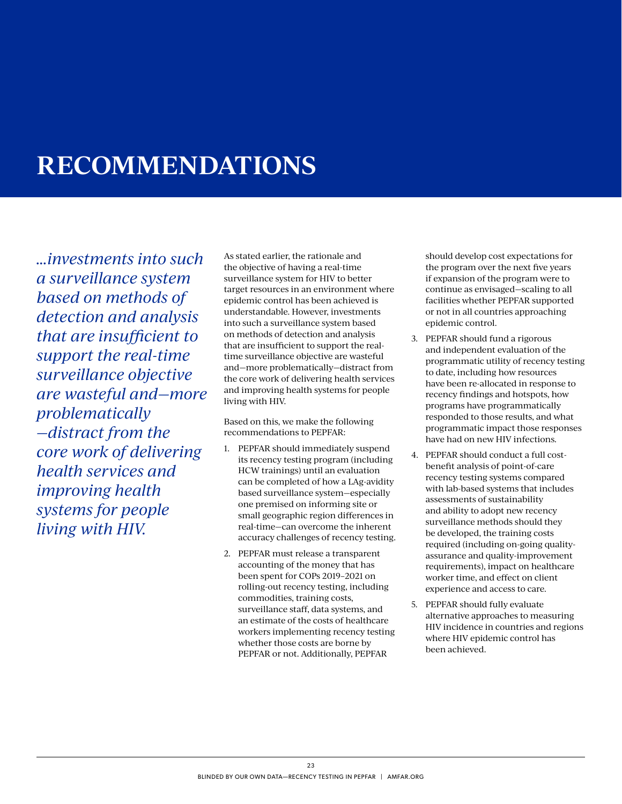# **RECOMMENDATIONS**

*…investments into such a surveillance system based on methods of detection and analysis that are insufficient to support the real-time surveillance objective are wasteful and—more problematically —distract from the core work of delivering health services and improving health systems for people living with HIV.*

As stated earlier, the rationale and the objective of having a real-time surveillance system for HIV to better target resources in an environment where epidemic control has been achieved is understandable. However, investments into such a surveillance system based on methods of detection and analysis that are insufficient to support the realtime surveillance objective are wasteful and—more problematically—distract from the core work of delivering health services and improving health systems for people living with HIV.

Based on this, we make the following recommendations to PEPFAR:

- 1. PEPFAR should immediately suspend its recency testing program (including HCW trainings) until an evaluation can be completed of how a LAg-avidity based surveillance system—especially one premised on informing site or small geographic region differences in real-time—can overcome the inherent accuracy challenges of recency testing.
- 2. PEPFAR must release a transparent accounting of the money that has been spent for COPs 2019–2021 on rolling-out recency testing, including commodities, training costs, surveillance staff, data systems, and an estimate of the costs of healthcare workers implementing recency testing whether those costs are borne by PEPFAR or not. Additionally, PEPFAR

should develop cost expectations for the program over the next five years if expansion of the program were to continue as envisaged—scaling to all facilities whether PEPFAR supported or not in all countries approaching epidemic control.

- 3. PEPFAR should fund a rigorous and independent evaluation of the programmatic utility of recency testing to date, including how resources have been re-allocated in response to recency findings and hotspots, how programs have programmatically responded to those results, and what programmatic impact those responses have had on new HIV infections.
- 4. PEPFAR should conduct a full costbenefit analysis of point-of-care recency testing systems compared with lab-based systems that includes assessments of sustainability and ability to adopt new recency surveillance methods should they be developed, the training costs required (including on-going qualityassurance and quality-improvement requirements), impact on healthcare worker time, and effect on client experience and access to care.
- 5. PEPFAR should fully evaluate alternative approaches to measuring HIV incidence in countries and regions where HIV epidemic control has been achieved.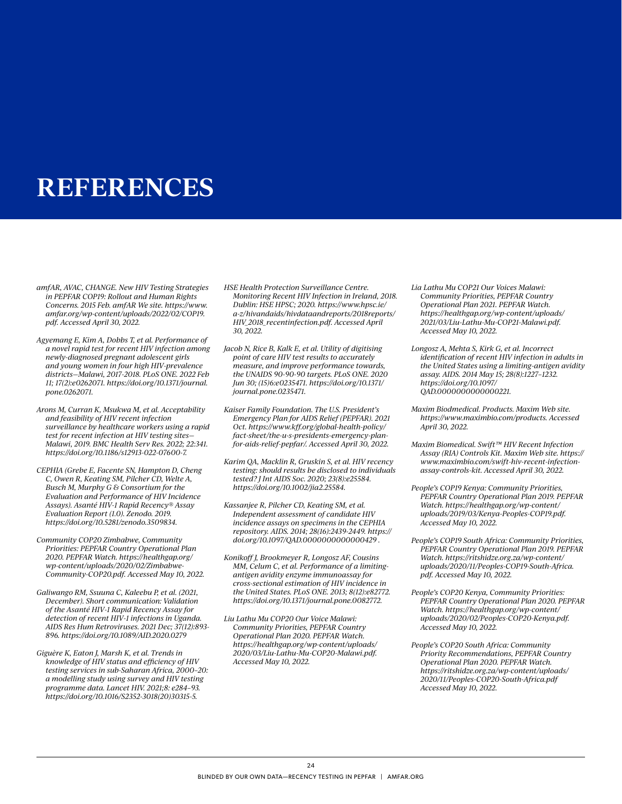## **REFERENCES**

- *amfAR, AVAC, CHANGE. New HIV Testing Strategies in PEPFAR COP19: Rollout and Human Rights Concerns. 2015 Feb. amfAR We site. [https://www.](https://www.amfar.org/wp-content/uploads/2022/02/COP19.pdf) [amfar.org/wp-content/uploads/2022/02/COP19.](https://www.amfar.org/wp-content/uploads/2022/02/COP19.pdf) [pdf. Accessed April 30, 2022](https://www.amfar.org/wp-content/uploads/2022/02/COP19.pdf).*
- *Agyemang E, Kim A, Dobbs T, et al. Performance of a novel rapid test for recent HIV infection among newly-diagnosed pregnant adolescent girls and young women in four high HIV-prevalence districts—Malawi, 2017-2018. PLoS ONE. 2022 Feb 11; 17(2):e0262071. [https://doi.org/10.1371/journal.](https://doi.org/10.1371/journal.pone.0262071) [pone.0262071](https://doi.org/10.1371/journal.pone.0262071).*
- *Arons M, Curran K, Msukwa M, et al. Acceptability and feasibility of HIV recent infection surveillance by healthcare workers using a rapid test for recent infection at HIV testing sites— Malawi, 2019. BMC Health Serv Res. 2022; 22:341. <https://doi.org/10.1186/s12913-022-07600-7>.*
- *CEPHIA (Grebe E, Facente SN, Hampton D, Cheng C, Owen R, Keating SM, Pilcher CD, Welte A, Busch M, Murphy G & Consortium for the Evaluation and Performance of HIV Incidence Assays). Asanté HIV-1 Rapid Recency® Assay Evaluation Report (1.0). Zenodo. 2019. [https://doi.org/10.5281/zenodo.3509834.](https://doi.org/10.5281/zenodo.3509834)*
- *Community COP20 Zimbabwe, Community Priorities: PEPFAR Country Operational Plan 2020. PEPFAR Watch. [https://healthgap.org/](https://healthgap.org/wp-content/uploads/2020/02/Zimbabwe-Community-COP20.pdf) [wp-content/uploads/2020/02/Zimbabwe-](https://healthgap.org/wp-content/uploads/2020/02/Zimbabwe-Community-COP20.pdf)[Community-COP20.pdf](https://healthgap.org/wp-content/uploads/2020/02/Zimbabwe-Community-COP20.pdf). Accessed May 10, 2022.*
- *Galiwango RM, Ssuuna C, Kaleebu P, et al. (2021, December). Short communication: Validation of the Asanté HIV-1 Rapid Recency Assay for detection of recent HIV-1 infections in Uganda. AIDS Res Hum Retroviruses. 2021 Dec; 37(12):893- 896.<https://doi.org/10.1089/AID.2020.0279>*
- *Giguère K, Eaton J, Marsh K, et al. Trends in knowledge of HIV status and efficiency of HIV testing services in sub-Saharan Africa, 2000–20: a modelling study using survey and HIV testing programme data. Lancet HIV. 2021;8: e284–93. [https://doi.org/10.1016/S2352-3018\(20\)30315-5.](https://doi.org/10.1016/S2352-3018(20)30315-5)*
- *HSE Health Protection Surveillance Centre. Monitoring Recent HIV Infection in Ireland, 2018. Dublin: HSE HPSC; 2020. [https://www.hpsc.ie/](https://www.hpsc.ie/a-z/hivandaids/hivdataandreports/2018reports/HIV_2018_recentinfection.pdf) [a-z/hivandaids/hivdataandreports/2018reports/](https://www.hpsc.ie/a-z/hivandaids/hivdataandreports/2018reports/HIV_2018_recentinfection.pdf) [HIV\\_2018\\_recentinfection.pdf.](https://www.hpsc.ie/a-z/hivandaids/hivdataandreports/2018reports/HIV_2018_recentinfection.pdf) Accessed April 30, 2022.*
- *Jacob N, Rice B, Kalk E, et al. Utility of digitising point of care HIV test results to accurately measure, and improve performance towards, the UNAIDS 90-90-90 targets. PLoS ONE. 2020 Jun 30; (15)6:e0235471. [https://doi.org/10.1371/](https://doi.org/10.1371/journal.pone.0235471) [journal.pone.0235471.](https://doi.org/10.1371/journal.pone.0235471)*
- *Kaiser Family Foundation. The U.S. President's Emergency Plan for AIDS Relief (PEPFAR). 2021 Oct. [https://www.kff.org/global-health-policy/](https://www.kff.org/global-health-policy/fact-sheet/the-u-s-presidents-emergency-plan-for-aids-relief-pepfar/) [fact-sheet/the-u-s-presidents-emergency-plan](https://www.kff.org/global-health-policy/fact-sheet/the-u-s-presidents-emergency-plan-for-aids-relief-pepfar/)[for-aids-relief-pepfar/.](https://www.kff.org/global-health-policy/fact-sheet/the-u-s-presidents-emergency-plan-for-aids-relief-pepfar/) Accessed April 30, 2022.*
- *Karim QA, Macklin R, Gruskin S, et al. HIV recency testing: should results be disclosed to individuals tested? J Int AIDS Soc. 2020; 23(8):e25584. [https://doi.org/10.1002/jia2.25584.](https://doi.org/10.1002/jia2.25584)*
- *Kassanjee R, Pilcher CD, Keating SM, et al. Independent assessment of candidate HIV incidence assays on specimens in the CEPHIA repository. AIDS. 2014; 28(16):2439-2449. [https://](https://doi.org/10.1097/QAD.0000000000000429) [doi.org/10.1097/QAD.0000000000000429](https://doi.org/10.1097/QAD.0000000000000429) .*
- *Konikoff J, Brookmeyer R, Longosz AF, Cousins MM, Celum C, et al. Performance of a limitingantigen avidity enzyme immunoassay for cross-sectional estimation of HIV incidence in the United States. PLoS ONE. 2013; 8(12):e82772. [https://doi.org/10.1371/journal.pone.0082772.](https://doi.org/10.1371/journal.pone.0082772)*
- *Liu Lathu Mu COP20 Our Voice Malawi: Community Priorities, PEPFAR Country Operational Plan 2020. PEPFAR Watch. [https://healthgap.org/wp-content/uploads/](https://healthgap.org/wp-content/uploads/2020/03/Liu-Lathu-Mu-COP20-Malawi.pdf) [2020/03/Liu-Lathu-Mu-COP20-Malawi.pdf.](https://healthgap.org/wp-content/uploads/2020/03/Liu-Lathu-Mu-COP20-Malawi.pdf) Accessed May 10, 2022.*
- *Lia Lathu Mu COP21 Our Voices Malawi: Community Priorities, PEPFAR Country Operational Plan 2021. PEPFAR Watch. [https://healthgap.org/wp-content/uploads/](https://healthgap.org/wp-content/uploads/2021/03/Liu-Lathu-Mu-COP21-Malawi.pdf) [2021/03/Liu-Lathu-Mu-COP21-Malawi.pdf.](https://healthgap.org/wp-content/uploads/2021/03/Liu-Lathu-Mu-COP21-Malawi.pdf) Accessed May 10, 2022.*
- *Longosz A, Mehta S, Kirk G, et al. Incorrect identification of recent HIV infection in adults in the United States using a limiting-antigen avidity assay. AIDS. 2014 May 15; 28(8):1227–1232. [https://doi.org/10.1097/](https://doi.org/10.1097/QAD.0000000000000221  ) [QAD.0000000000000221.](https://doi.org/10.1097/QAD.0000000000000221  )*
- *Maxim Biodmedical. Products. Maxim Web site. <https://www.maximbio.com/products>. Accessed April 30, 2022.*
- *Maxim Biomedical. Swift™ HIV Recent Infection Assay (RIA) Controls Kit. Maxim Web site. [https://](https://www.maximbio.com/swift-hiv-recent-infection-assay-controls-kit) [www.maximbio.com/swift-hiv-recent-infection](https://www.maximbio.com/swift-hiv-recent-infection-assay-controls-kit)[assay-controls-kit](https://www.maximbio.com/swift-hiv-recent-infection-assay-controls-kit). Accessed April 30, 2022.*
- *People's COP19 Kenya: Community Priorities, PEPFAR Country Operational Plan 2019. PEPFAR Watch. [https://healthgap.org/wp-content/](https://healthgap.org/wp-content/uploads/2019/03/Kenya-Peoples-COP19.pdf) [uploads/2019/03/Kenya-Peoples-COP19.pdf.](https://healthgap.org/wp-content/uploads/2019/03/Kenya-Peoples-COP19.pdf) Accessed May 10, 2022.*
- *People's COP19 South Africa: Community Priorities, PEPFAR Country Operational Plan 2019. PEPFAR Watch. [https://ritshidze.org.za/wp-content/](https://ritshidze.org.za/wp-content/uploads/2020/11/Peoples-COP19-South-Africa.pdf) [uploads/2020/11/Peoples-COP19-South-Africa.](https://ritshidze.org.za/wp-content/uploads/2020/11/Peoples-COP19-South-Africa.pdf) [pdf](https://ritshidze.org.za/wp-content/uploads/2020/11/Peoples-COP19-South-Africa.pdf). Accessed May 10, 2022.*
- *People's COP20 Kenya, Community Priorities: PEPFAR Country Operational Plan 2020. PEPFAR Watch. [https://healthgap.org/wp-content/](https://healthgap.org/wp-content/uploads/2020/02/Peoples-COP20-Kenya.pdf) [uploads/2020/02/Peoples-COP20-Kenya.pdf](https://healthgap.org/wp-content/uploads/2020/02/Peoples-COP20-Kenya.pdf). Accessed May 10, 2022.*
- *People's COP20 South Africa: Community Priority Recommendations, PEPFAR Country Operational Plan 2020. PEPFAR Watch. [https://ritshidze.org.za/wp-content/uploads/](https://ritshidze.org.za/wp-content/uploads/2020/11/Peoples-COP20-South-Africa.pdf) [2020/11/Peoples-COP20-South-Africa.pdf](https://ritshidze.org.za/wp-content/uploads/2020/11/Peoples-COP20-South-Africa.pdf) Accessed May 10, 2022.*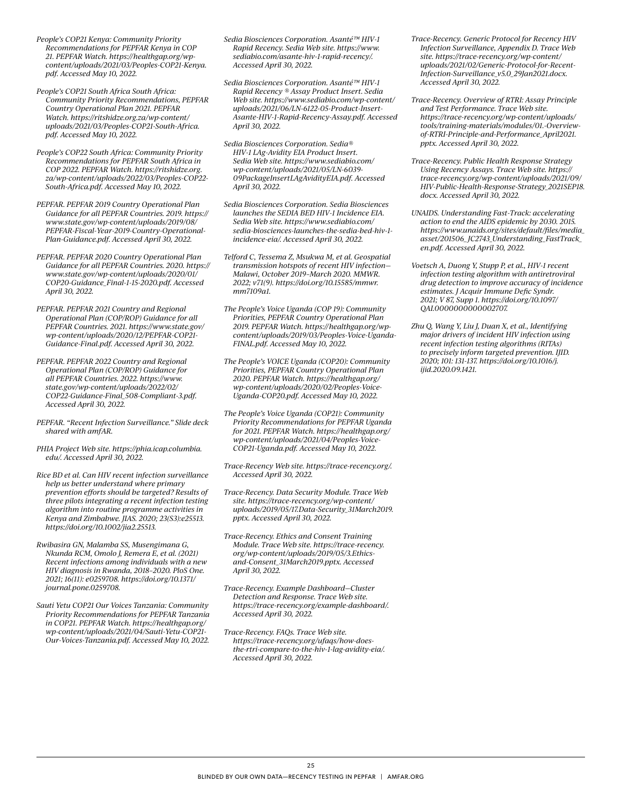- *People's COP21 Kenya: Community Priority Recommendations for PEPFAR Kenya in COP 21. PEPFAR Watch. [https://healthgap.org/wp](https://healthgap.org/wp-content/uploads/2021/03/Peoples-COP21-Kenya.pdf)[content/uploads/2021/03/Peoples-COP21-Kenya.](https://healthgap.org/wp-content/uploads/2021/03/Peoples-COP21-Kenya.pdf) [pdf](https://healthgap.org/wp-content/uploads/2021/03/Peoples-COP21-Kenya.pdf). Accessed May 10, 2022.*
- *People's COP21 South Africa South Africa: Community Priority Recommendations, PEPFAR Country Operational Plan 2021. PEPFAR Watch. [https://ritshidze.org.za/wp-content/](https://ritshidze.org.za/wp-content/uploads/2021/03/Peoples-COP21-South-Africa.pdf) [uploads/2021/03/Peoples-COP21-South-Africa.](https://ritshidze.org.za/wp-content/uploads/2021/03/Peoples-COP21-South-Africa.pdf) [pdf](https://ritshidze.org.za/wp-content/uploads/2021/03/Peoples-COP21-South-Africa.pdf). Accessed May 10, 2022.*
- *People's COP22 South Africa: Community Priority Recommendations for PEPFAR South Africa in COP 2022. PEPFAR Watch. [https://ritshidze.org.](https://ritshidze.org.za/wp-content/uploads/2022/03/Peoples-COP22-South-Africa.pdf) [za/wp-content/uploads/2022/03/Peoples-COP22-](https://ritshidze.org.za/wp-content/uploads/2022/03/Peoples-COP22-South-Africa.pdf) [South-Africa.pdf.](https://ritshidze.org.za/wp-content/uploads/2022/03/Peoples-COP22-South-Africa.pdf) Accessed May 10, 2022.*
- *PEPFAR. PEPFAR 2019 Country Operational Plan Guidance for all PEPFAR Countries. 2019. [https://](https://www.state.gov/wp-content/uploads/2019/08/PEPFAR-Fiscal-Year-2019-Country-Operational-Plan-Guidance.pdf) [www.state.gov/wp-content/uploads/2019/08/](https://www.state.gov/wp-content/uploads/2019/08/PEPFAR-Fiscal-Year-2019-Country-Operational-Plan-Guidance.pdf) [PEPFAR-Fiscal-Year-2019-Country-Operational-](https://www.state.gov/wp-content/uploads/2019/08/PEPFAR-Fiscal-Year-2019-Country-Operational-Plan-Guidance.pdf)[Plan-Guidance.pdf](https://www.state.gov/wp-content/uploads/2019/08/PEPFAR-Fiscal-Year-2019-Country-Operational-Plan-Guidance.pdf). Accessed April 30, 2022.*
- *PEPFAR. PEPFAR 2020 Country Operational Plan Guidance for all PEPFAR Countries. 2020. [https://](https://www.state.gov/wp-content/uploads/2020/01/COP20-Guidance_Final-1-15-2020.pdf) [www.state.gov/wp-content/uploads/2020/01/](https://www.state.gov/wp-content/uploads/2020/01/COP20-Guidance_Final-1-15-2020.pdf) [COP20-Guidance\\_Final-1-15-2020.pdf](https://www.state.gov/wp-content/uploads/2020/01/COP20-Guidance_Final-1-15-2020.pdf). Accessed April 30, 2022.*
- *PEPFAR. PEPFAR 2021 Country and Regional Operational Plan (COP/ROP) Guidance for all PEPFAR Countries. 2021. [https://www.state.gov/](https://www.state.gov/wp-content/uploads/2020/12/PEPFAR-COP21-Guidance-Final.pdf) [wp-content/uploads/2020/12/PEPFAR-COP21-](https://www.state.gov/wp-content/uploads/2020/12/PEPFAR-COP21-Guidance-Final.pdf) [Guidance-Final.pdf](https://www.state.gov/wp-content/uploads/2020/12/PEPFAR-COP21-Guidance-Final.pdf). Accessed April 30, 2022.*
- *PEPFAR. PEPFAR 2022 Country and Regional Operational Plan (COP/ROP) Guidance for all PEPFAR Countries. 2022. [https://www.](https://www.state.gov/wp-content/uploads/2022/02/COP22-Guidance-Final_508-Compliant-3.pdf) [state.gov/wp-content/uploads/2022/02/](https://www.state.gov/wp-content/uploads/2022/02/COP22-Guidance-Final_508-Compliant-3.pdf) [COP22-Guidance-Final\\_508-Compliant-3.pdf](https://www.state.gov/wp-content/uploads/2022/02/COP22-Guidance-Final_508-Compliant-3.pdf). Accessed April 30, 2022.*
- *PEPFAR. "Recent Infection Surveillance." Slide deck shared with amfAR.*
- *PHIA Project Web site. [https://phia.icap.columbia.](https://phia.icap.columbia.edu/) [edu/](https://phia.icap.columbia.edu/). Accessed April 30, 2022.*
- *Rice BD et al. Can HIV recent infection surveillance help us better understand where primary prevention efforts should be targeted? Results of three pilots integrating a recent infection testing algorithm into routine programme activities in Kenya and Zimbabwe. JIAS. 2020; 23(S3):e25513. <https://doi.org/10.1002/jia2.25513>.*
- *Rwibasira GN, Malamba SS, Musengimana G, Nkunda RCM, Omolo J, Remera E, et al. (2021) Recent infections among individuals with a new HIV diagnosis in Rwanda, 2018–2020. PloS One. 2021; 16(11): e0259708. [https://doi.org/10.1371/](https://doi.org/10.1371/journal.pone.0259708) [journal.pone.0259708.](https://doi.org/10.1371/journal.pone.0259708)*
- *Sauti Yetu COP21 Our Voices Tanzania: Community Priority Recommendations for PEPFAR Tanzania in COP21. PEPFAR Watch. [https://healthgap.org/](https://healthgap.org/wp-content/uploads/2021/04/Sauti-Yetu-COP21-Our-Voices-Tanzania.pdf) [wp-content/uploads/2021/04/Sauti-Yetu-COP21-](https://healthgap.org/wp-content/uploads/2021/04/Sauti-Yetu-COP21-Our-Voices-Tanzania.pdf) [Our-Voices-Tanzania.pdf](https://healthgap.org/wp-content/uploads/2021/04/Sauti-Yetu-COP21-Our-Voices-Tanzania.pdf). Accessed May 10, 2022.*
- *Sedia Biosciences Corporation. Asanté™ HIV-1 Rapid Recency. Sedia Web site. [https://www.](https://www.sediabio.com/asante-hiv-1-rapid-recency/) [sediabio.com/asante-hiv-1-rapid-recency/.](https://www.sediabio.com/asante-hiv-1-rapid-recency/) Accessed April 30, 2022.*
- *Sedia Biosciences Corporation. Asanté™ HIV-1 Rapid Recency ® Assay Product Insert. Sedia Web site. [https://www.sediabio.com/wp-content/](https://www.sediabio.com/wp-content/uploads/2021/06/LN-6122-05-Product-Insert-Asante-HIV-1-Rapid-Recency-Assay.pdf) [uploads/2021/06/LN-6122-05-Product-Insert-](https://www.sediabio.com/wp-content/uploads/2021/06/LN-6122-05-Product-Insert-Asante-HIV-1-Rapid-Recency-Assay.pdf)[Asante-HIV-1-Rapid-Recency-Assay.pdf](https://www.sediabio.com/wp-content/uploads/2021/06/LN-6122-05-Product-Insert-Asante-HIV-1-Rapid-Recency-Assay.pdf). Accessed April 30, 2022.*
- *Sedia Biosciences Corporation. Sedia® HIV-1 LAg-Avidity EIA Product Insert. Sedia Web site. [https://www.sediabio.com/](https://www.sediabio.com/wp-content/uploads/2021/05/LN-6039-09PackageInsertLAgAvidityEIA.pdf) [wp-content/uploads/2021/05/LN-6039-](https://www.sediabio.com/wp-content/uploads/2021/05/LN-6039-09PackageInsertLAgAvidityEIA.pdf) [09PackageInsertLAgAvidityEIA.pdf.](https://www.sediabio.com/wp-content/uploads/2021/05/LN-6039-09PackageInsertLAgAvidityEIA.pdf) Accessed April 30, 2022.*
- *Sedia Biosciences Corporation. Sedia Biosciences launches the SEDIA BED HIV-1 Incidence EIA. Sedia Web site. [https://www.sediabio.com/](https://www.sediabio.com/sedia-biosciences-launches-the-sedia-bed-hiv-1-incidence-eia/) [sedia-biosciences-launches-the-sedia-bed-hiv-1](https://www.sediabio.com/sedia-biosciences-launches-the-sedia-bed-hiv-1-incidence-eia/) [incidence-eia/.](https://www.sediabio.com/sedia-biosciences-launches-the-sedia-bed-hiv-1-incidence-eia/) Accessed April 30, 2022.*
- *Telford C, Tessema Z, Msukwa M, et al. Geospatial transmission hotspots of recent HIV infection— Malawi, October 2019–March 2020. MMWR. 2022; v71(9). [https://doi.org/10.15585/mmwr.](https://doi.org/10.15585/mmwr.mm7109a1) [mm7109a1](https://doi.org/10.15585/mmwr.mm7109a1).*
- *The People's Voice Uganda (COP 19): Community Priorities, PEPFAR Country Operational Plan 2019. PEPFAR Watch. [https://healthgap.org/wp](https://healthgap.org/wp-content/uploads/2019/03/Peoples-Voice-Uganda-FINAL.pdf)[content/uploads/2019/03/Peoples-Voice-Uganda-](https://healthgap.org/wp-content/uploads/2019/03/Peoples-Voice-Uganda-FINAL.pdf)[FINAL.pdf.](https://healthgap.org/wp-content/uploads/2019/03/Peoples-Voice-Uganda-FINAL.pdf) Accessed May 10, 2022.*
- *The People's VOICE Uganda (COP20): Community Priorities, PEPFAR Country Operational Plan 2020. PEPFAR Watch. [https://healthgap.org/](https://healthgap.org/wp-content/uploads/2020/02/Peoples-Voice-Uganda-COP20.pdf) [wp-content/uploads/2020/02/Peoples-Voice-](https://healthgap.org/wp-content/uploads/2020/02/Peoples-Voice-Uganda-COP20.pdf)[Uganda-COP20.pdf](https://healthgap.org/wp-content/uploads/2020/02/Peoples-Voice-Uganda-COP20.pdf). Accessed May 10, 2022.*
- *The People's Voice Uganda (COP21): Community Priority Recommendations for PEPFAR Uganda for 2021. PEPFAR Watch. [https://healthgap.org/](https://healthgap.org/wp-content/uploads/2021/04/Peoples-Voice-COP21-Uganda.pdf) [wp-content/uploads/2021/04/Peoples-Voice-](https://healthgap.org/wp-content/uploads/2021/04/Peoples-Voice-COP21-Uganda.pdf)[COP21-Uganda.pdf.](https://healthgap.org/wp-content/uploads/2021/04/Peoples-Voice-COP21-Uganda.pdf) Accessed May 10, 2022.*
- *Trace-Recency Web site. <https://trace-recency.org/>. Accessed April 30, 2022.*
- *Trace-Recency. Data Security Module. Trace Web site. [https://trace-recency.org/wp-content/](https://trace-recency.org/wp-content/uploads/2019/05/17.Data-Security_31March2019.pptx) [uploads/2019/05/17.Data-Security\\_31March2019.](https://trace-recency.org/wp-content/uploads/2019/05/17.Data-Security_31March2019.pptx) [pptx](https://trace-recency.org/wp-content/uploads/2019/05/17.Data-Security_31March2019.pptx). Accessed April 30, 2022.*
- *Trace-Recency. Ethics and Consent Training Module. Trace Web site. [https://trace-recency.](https://trace-recency.org/wp-content/uploads/2019/05/3.Ethics-and-Consent_31March2019.pptx) [org/wp-content/uploads/2019/05/3.Ethics](https://trace-recency.org/wp-content/uploads/2019/05/3.Ethics-and-Consent_31March2019.pptx)[and-Consent\\_31March2019.pptx.](https://trace-recency.org/wp-content/uploads/2019/05/3.Ethics-and-Consent_31March2019.pptx) Accessed April 30, 2022.*
- *Trace-Recency. Example Dashboard—Cluster Detection and Response. Trace Web site. <https://trace-recency.org/example-dashboard>/. Accessed April 30, 2022.*
- *Trace-Recency. FAQs. Trace Web site. [https://trace-recency.org/ufaqs/how-does](https://trace-recency.org/ufaqs/how-does-the-rtri-compare-to-the-hiv-1-lag-avidity-eia/)[the-rtri-compare-to-the-hiv-1-lag-avidity-eia/](https://trace-recency.org/ufaqs/how-does-the-rtri-compare-to-the-hiv-1-lag-avidity-eia/). Accessed April 30, 2022.*
- *Trace-Recency. Generic Protocol for Recency HIV Infection Surveillance, Appendix D. Trace Web site. [https://trace-recency.org/wp-content/](https://trace-recency.org/wp-content/uploads/2021/02/Generic-Protocol-for-Recent-Infection-Surveillance_v5.0_29Jan2021.docx) [uploads/2021/02/Generic-Protocol-for-Recent-](https://trace-recency.org/wp-content/uploads/2021/02/Generic-Protocol-for-Recent-Infection-Surveillance_v5.0_29Jan2021.docx)[Infection-Surveillance\\_v5.0\\_29Jan2021.docx](https://trace-recency.org/wp-content/uploads/2021/02/Generic-Protocol-for-Recent-Infection-Surveillance_v5.0_29Jan2021.docx). Accessed April 30, 2022.*
- *Trace-Recency. Overview of RTRI: Assay Principle and Test Performance. Trace Web site. [https://trace-recency.org/wp-content/uploads/](https://trace-recency.org/wp-content/uploads/tools/training-materials/modules/01.-Overview-of-RTRI-Principle-and-Performance_April2021.pptx) [tools/training-materials/modules/01.-Overview](https://trace-recency.org/wp-content/uploads/tools/training-materials/modules/01.-Overview-of-RTRI-Principle-and-Performance_April2021.pptx)[of-RTRI-Principle-and-Performance\\_April2021.](https://trace-recency.org/wp-content/uploads/tools/training-materials/modules/01.-Overview-of-RTRI-Principle-and-Performance_April2021.pptx) [pptx.](https://trace-recency.org/wp-content/uploads/tools/training-materials/modules/01.-Overview-of-RTRI-Principle-and-Performance_April2021.pptx) Accessed April 30, 2022.*
- *Trace-Recency. Public Health Response Strategy Using Recency Assays. Trace Web site. [https://](https://trace-recency.org/wp-content/uploads/2021/09/HIV-Public-Health-Response-Strategy_2021SEP18.docx) [trace-recency.org/wp-content/uploads/2021/09/](https://trace-recency.org/wp-content/uploads/2021/09/HIV-Public-Health-Response-Strategy_2021SEP18.docx) [HIV-Public-Health-Response-Strategy\\_2021SEP18.](https://trace-recency.org/wp-content/uploads/2021/09/HIV-Public-Health-Response-Strategy_2021SEP18.docx) [docx.](https://trace-recency.org/wp-content/uploads/2021/09/HIV-Public-Health-Response-Strategy_2021SEP18.docx) Accessed April 30, 2022.*
- *UNAIDS. Understanding Fast-Track: accelerating action to end the AIDS epidemic by 2030. 2015. [https://www.unaids.org/sites/default/files/media\\_](https://www.unaids.org/sites/default/files/media_asset/201506_JC2743_Understanding_FastTrack_en.pdf) [asset/201506\\_ JC2743\\_Understanding\\_FastTrack\\_](https://www.unaids.org/sites/default/files/media_asset/201506_JC2743_Understanding_FastTrack_en.pdf) [en.pdf.](https://www.unaids.org/sites/default/files/media_asset/201506_JC2743_Understanding_FastTrack_en.pdf) Accessed April 30, 2022.*
- *Voetsch A, Duong Y, Stupp P, et al., HIV-1 recent infection testing algorithm with antiretroviral drug detection to improve accuracy of incidence estimates. J Acquir Immune Defic Syndr. 2021; V 87, Supp 1. [https://doi.org/10.1097/](https://doi.org/10.1097/QAI.0000000000002707) [QAI.0000000000002707](https://doi.org/10.1097/QAI.0000000000002707).*
- *Zhu Q, Wang Y, Liu J, Duan X, et al., Identifying major drivers of incident HIV infection using recent infection testing algorithms (RITAs) to precisely inform targeted prevention. IJID. 2020; 101: 131-137. [https://doi.org/10.1016/j.](https://doi.org/10.1016/j.ijid.2020.09.1421) [ijid.2020.09.1421.](https://doi.org/10.1016/j.ijid.2020.09.1421)*